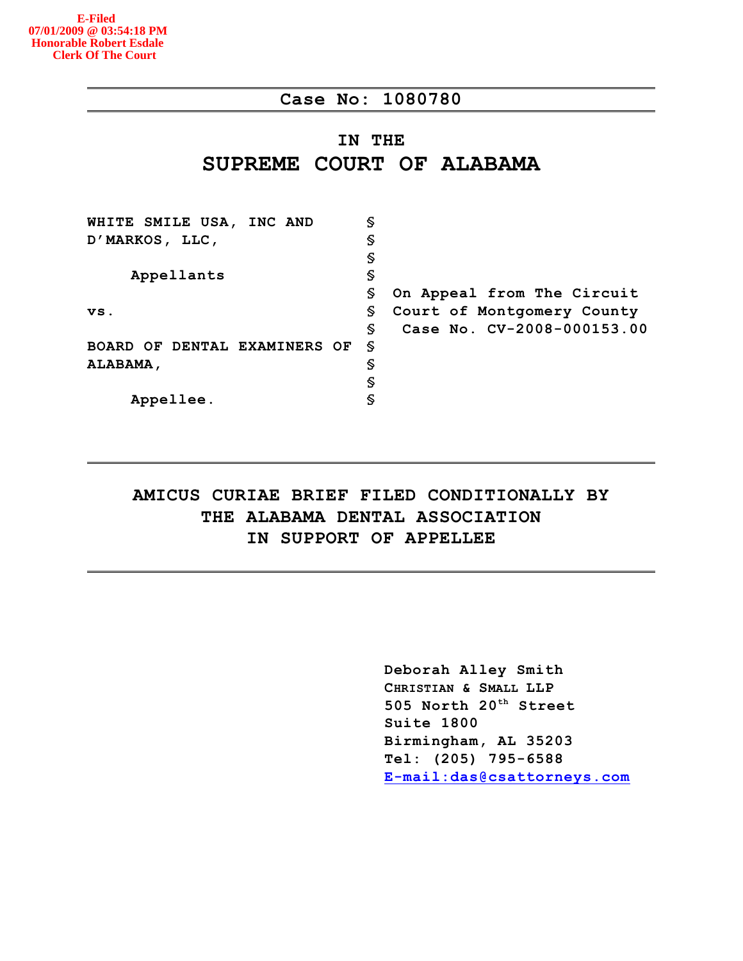## **Case No: 1080780**

# **IN THE SUPREME COURT OF ALABAMA**

| WHITE SMILE USA, INC AND     | S |                            |
|------------------------------|---|----------------------------|
| D'MARKOS, LLC,               | S |                            |
|                              | S |                            |
| Appellants                   | S |                            |
|                              | S | On Appeal from The Circuit |
| VS.                          | S | Court of Montgomery County |
|                              | S | Case No. CV-2008-000153.00 |
| BOARD OF DENTAL EXAMINERS OF | S |                            |
| ALABAMA,                     | S |                            |
|                              | S |                            |
| Appellee.                    | S |                            |

# **AMICUS CURIAE BRIEF FILED CONDITIONALLY BY THE ALABAMA DENTAL ASSOCIATION IN SUPPORT OF APPELLEE**

**Deborah Alley Smith CHRISTIAN & SMALL LLP 505 North 20 Street th Suite 1800 Birmingham, AL 35203 Tel: (205) 795-6588 [E-mail:das@csattorneys.com](mailto:E-mail:das@csattorneys.com)**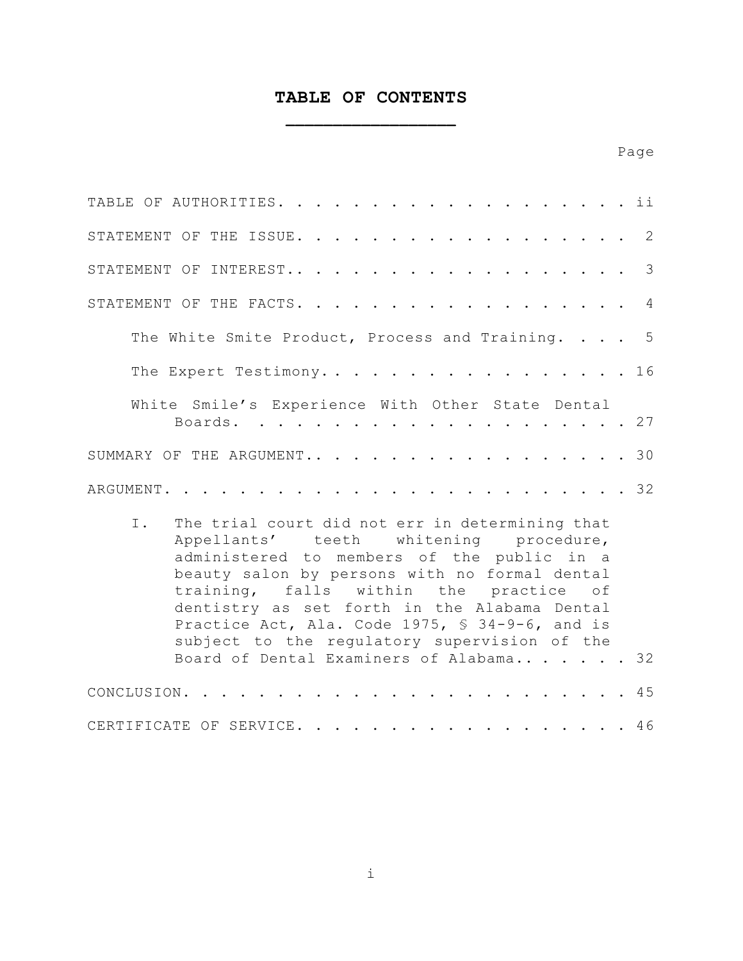# **TABLE OF CONTENTS \_\_\_\_\_\_\_\_\_\_\_\_\_\_\_\_\_\_**

| TABLE OF AUTHORITIES. ii                                                                                                                                                                                                                                                                                                                                                                                                              |               |
|---------------------------------------------------------------------------------------------------------------------------------------------------------------------------------------------------------------------------------------------------------------------------------------------------------------------------------------------------------------------------------------------------------------------------------------|---------------|
| STATEMENT OF THE ISSUE. 2                                                                                                                                                                                                                                                                                                                                                                                                             |               |
| STATEMENT OF INTEREST                                                                                                                                                                                                                                                                                                                                                                                                                 | $\mathcal{S}$ |
| STATEMENT OF THE FACTS. 4                                                                                                                                                                                                                                                                                                                                                                                                             |               |
| The White Smite Product, Process and Training. 5                                                                                                                                                                                                                                                                                                                                                                                      |               |
| The Expert Testimony. 16                                                                                                                                                                                                                                                                                                                                                                                                              |               |
| White Smile's Experience With Other State Dental<br>. 27<br>Boards.                                                                                                                                                                                                                                                                                                                                                                   |               |
| SUMMARY OF THE ARGUMENT30                                                                                                                                                                                                                                                                                                                                                                                                             |               |
| . 32<br>ARGUMENT.                                                                                                                                                                                                                                                                                                                                                                                                                     |               |
| The trial court did not err in determining that<br>I.<br>Appellants' teeth whitening procedure,<br>administered to members of the public in a<br>beauty salon by persons with no formal dental<br>training, falls within the practice of<br>dentistry as set forth in the Alabama Dental<br>Practice Act, Ala. Code 1975, § 34-9-6, and is<br>subject to the regulatory supervision of the<br>Board of Dental Examiners of Alabama 32 |               |
| CONCLUSION. .                                                                                                                                                                                                                                                                                                                                                                                                                         | 45            |
| .46<br>CERTIFICATE OF SERVICE.                                                                                                                                                                                                                                                                                                                                                                                                        |               |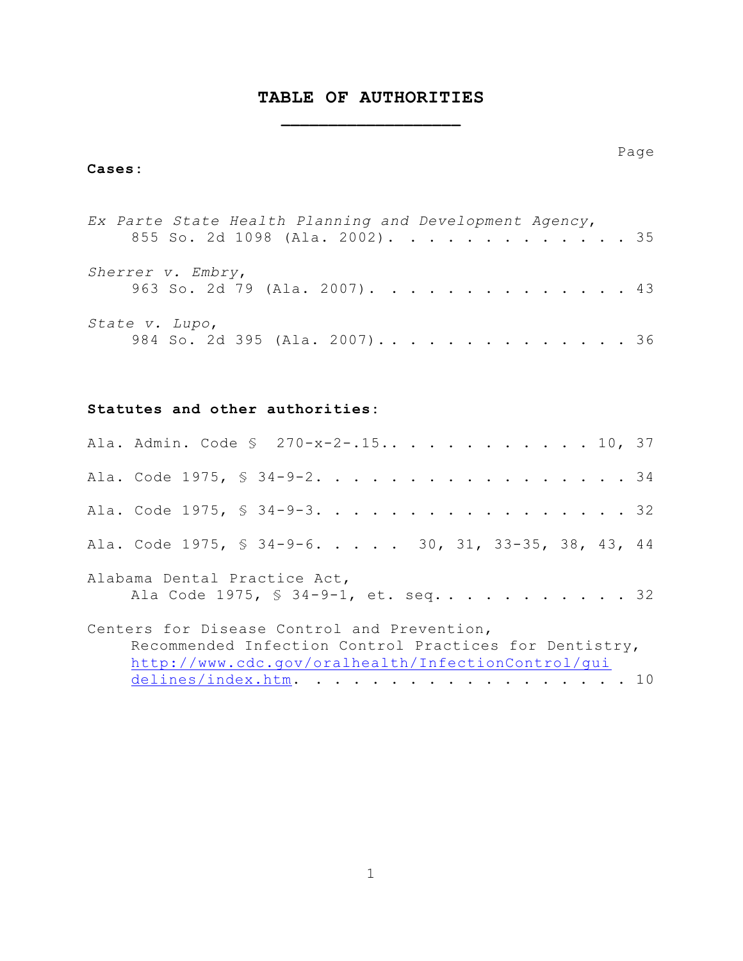# **TABLE OF AUTHORITIES \_\_\_\_\_\_\_\_\_\_\_\_\_\_\_\_\_\_\_**

### **Cases:**

| Ex Parte State Health Planning and Development Agency, |                                 |  |  |  |  |  |  |  |  |  |  |
|--------------------------------------------------------|---------------------------------|--|--|--|--|--|--|--|--|--|--|
|                                                        | 855 So. 2d 1098 (Ala. 2002). 35 |  |  |  |  |  |  |  |  |  |  |
| Sherrer v. Embry,                                      | 963 So. 2d 79 (Ala. 2007). 43   |  |  |  |  |  |  |  |  |  |  |
| State v. Lupo,                                         | 984 So. 2d 395 (Ala. 2007) 36   |  |  |  |  |  |  |  |  |  |  |

### **Statutes and other authorities:**

| Ala. Admin. Code § 270-x-2-.15 10, 37                                                                                                                       |
|-------------------------------------------------------------------------------------------------------------------------------------------------------------|
| Ala. Code 1975, § 34-9-2. 34                                                                                                                                |
| Ala. Code 1975, § 34-9-3. 32                                                                                                                                |
| Ala. Code 1975, § 34-9-6. 30, 31, 33-35, 38, 43, 44                                                                                                         |
| Alabama Dental Practice Act,<br>Ala Code 1975, § 34-9-1, et. seq 32                                                                                         |
| Centers for Disease Control and Prevention,<br>Recommended Infection Control Practices for Dentistry,<br>http://www.cdc.gov/oralhealth/InfectionControl/qui |
| delines/index.htm. 10                                                                                                                                       |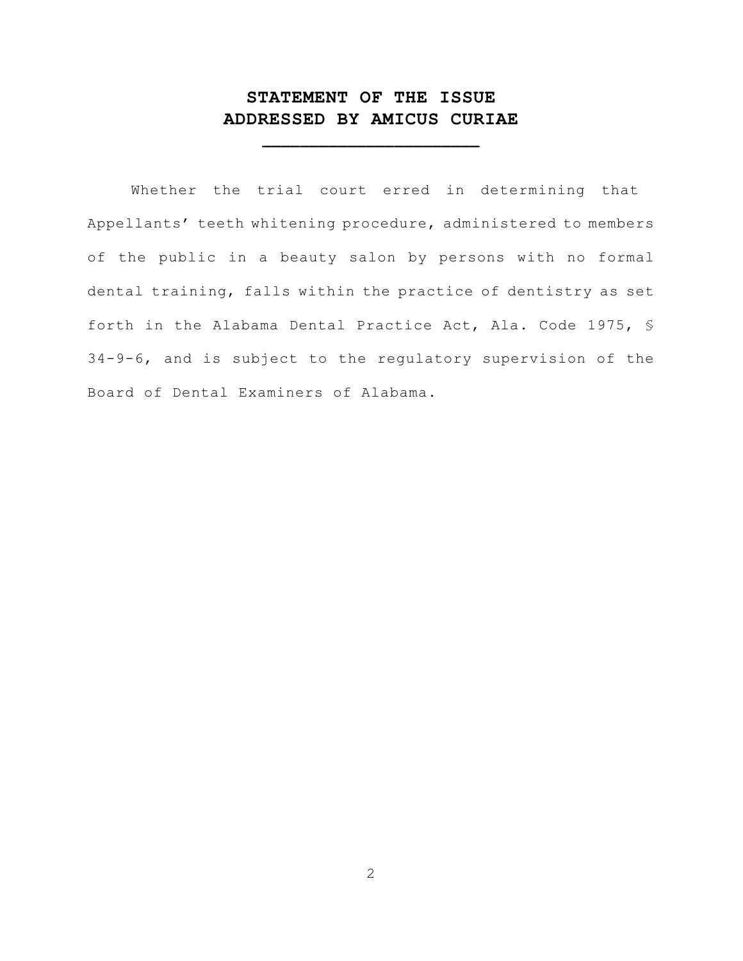# **STATEMENT OF THE ISSUE ADDRESSED BY AMICUS CURIAE**

**\_\_\_\_\_\_\_\_\_\_\_\_\_\_\_\_\_\_\_\_\_\_\_**

Whether the trial court erred in determining that Appellants' teeth whitening procedure, administered to members of the public in a beauty salon by persons with no formal dental training, falls within the practice of dentistry as set forth in the Alabama Dental Practice Act, Ala. Code 1975, § 34-9-6, and is subject to the regulatory supervision of the Board of Dental Examiners of Alabama.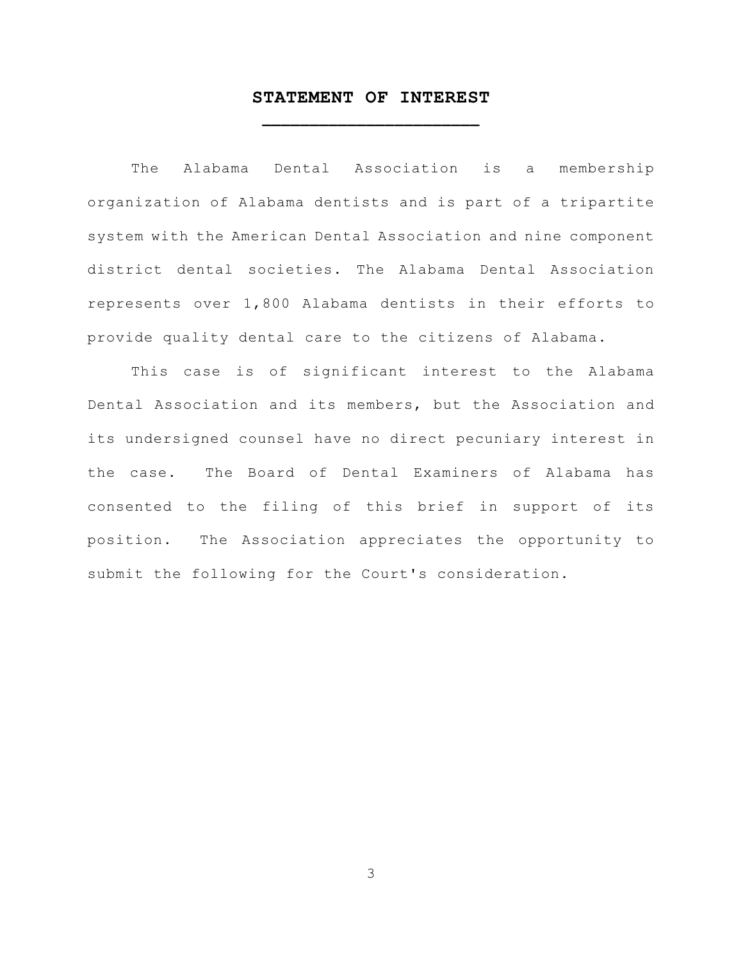## **STATEMENT OF INTEREST \_\_\_\_\_\_\_\_\_\_\_\_\_\_\_\_\_\_\_\_\_\_\_**

The Alabama Dental Association is a membership organization of Alabama dentists and is part of a tripartite system with the American Dental Association and nine component district dental societies. The Alabama Dental Association represents over 1,800 Alabama dentists in their efforts to provide quality dental care to the citizens of Alabama.

This case is of significant interest to the Alabama Dental Association and its members, but the Association and its undersigned counsel have no direct pecuniary interest in the case. The Board of Dental Examiners of Alabama has consented to the filing of this brief in support of its position. The Association appreciates the opportunity to submit the following for the Court's consideration.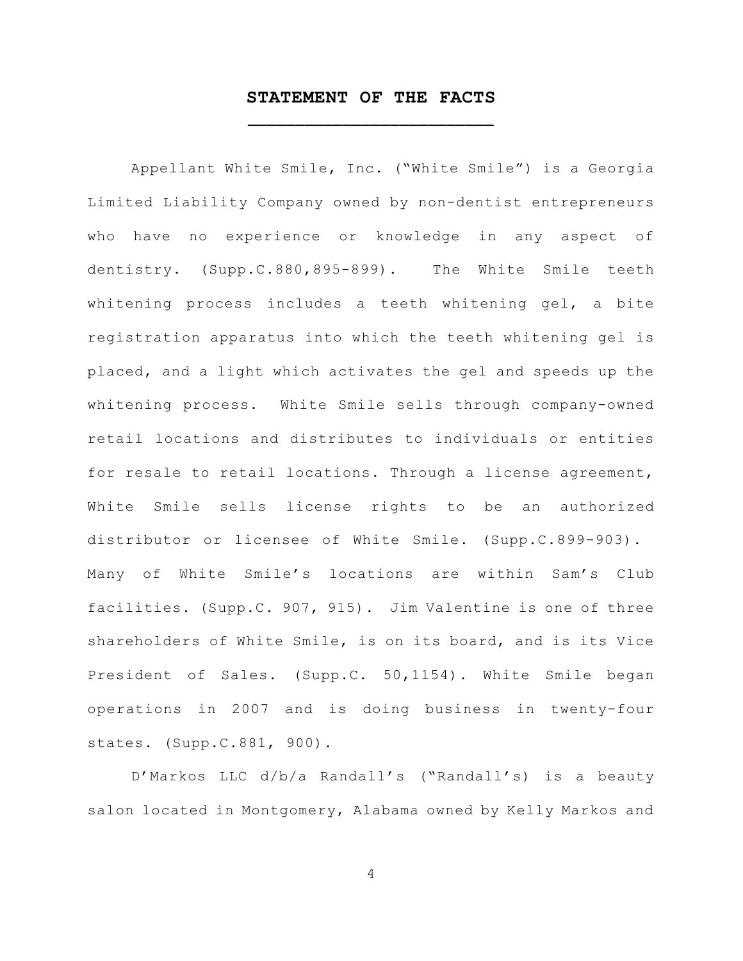## **STATEMENT OF THE FACTS \_\_\_\_\_\_\_\_\_\_\_\_\_\_\_\_\_\_\_\_\_\_\_\_\_\_**

Appellant White Smile, Inc. ("White Smile") is a Georgia Limited Liability Company owned by non-dentist entrepreneurs who have no experience or knowledge in any aspect of dentistry. (Supp.C.880,895-899). The White Smile teeth whitening process includes a teeth whitening gel, a bite registration apparatus into which the teeth whitening gel is placed, and a light which activates the gel and speeds up the whitening process. White Smile sells through company-owned retail locations and distributes to individuals or entities for resale to retail locations. Through a license agreement, White Smile sells license rights to be an authorized distributor or licensee of White Smile. (Supp.C.899-903). Many of White Smile's locations are within Sam's Club facilities. (Supp.C. 907, 915). Jim Valentine is one of three shareholders of White Smile, is on its board, and is its Vice President of Sales. (Supp.C. 50,1154). White Smile began operations in 2007 and is doing business in twenty-four states. (Supp.C.881, 900).

D'Markos LLC d/b/a Randall's ("Randall's) is a beauty salon located in Montgomery, Alabama owned by Kelly Markos and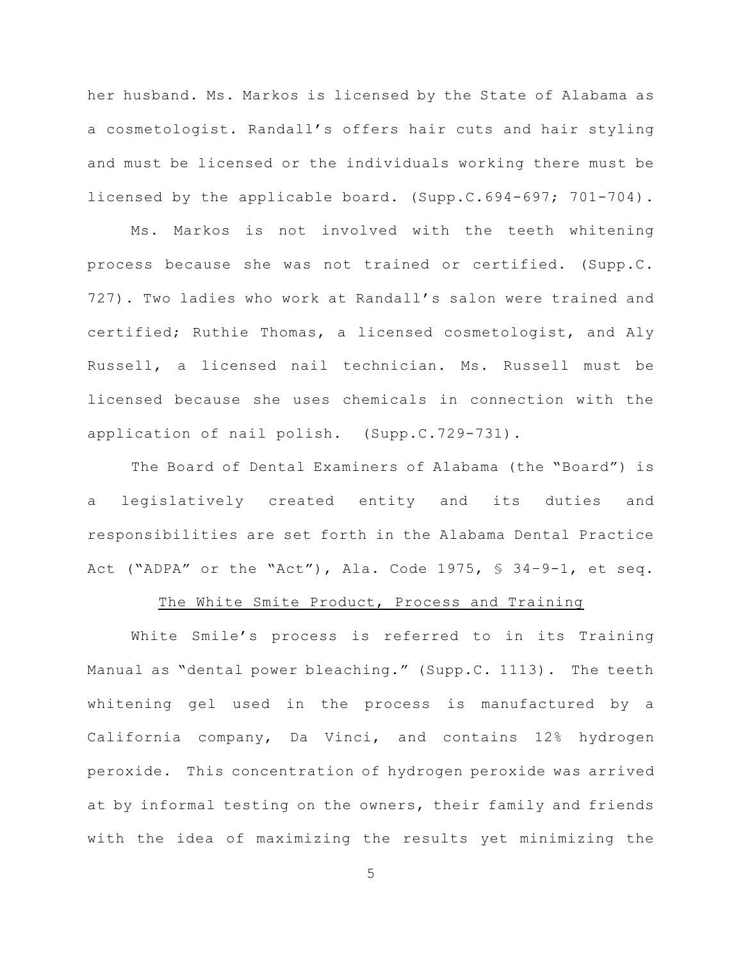her husband. Ms. Markos is licensed by the State of Alabama as a cosmetologist. Randall's offers hair cuts and hair styling and must be licensed or the individuals working there must be licensed by the applicable board. (Supp.C.694-697; 701-704).

Ms. Markos is not involved with the teeth whitening process because she was not trained or certified. (Supp.C. 727). Two ladies who work at Randall's salon were trained and certified; Ruthie Thomas, a licensed cosmetologist, and Aly Russell, a licensed nail technician. Ms. Russell must be licensed because she uses chemicals in connection with the application of nail polish. (Supp.C.729-731).

The Board of Dental Examiners of Alabama (the "Board") is a legislatively created entity and its duties and responsibilities are set forth in the Alabama Dental Practice Act ("ADPA" or the "Act"), Ala. Code 1975, § 34–9-1, et seq.

#### The White Smite Product, Process and Training

White Smile's process is referred to in its Training Manual as "dental power bleaching." (Supp.C. 1113). The teeth whitening gel used in the process is manufactured by a California company, Da Vinci, and contains 12% hydrogen peroxide. This concentration of hydrogen peroxide was arrived at by informal testing on the owners, their family and friends with the idea of maximizing the results yet minimizing the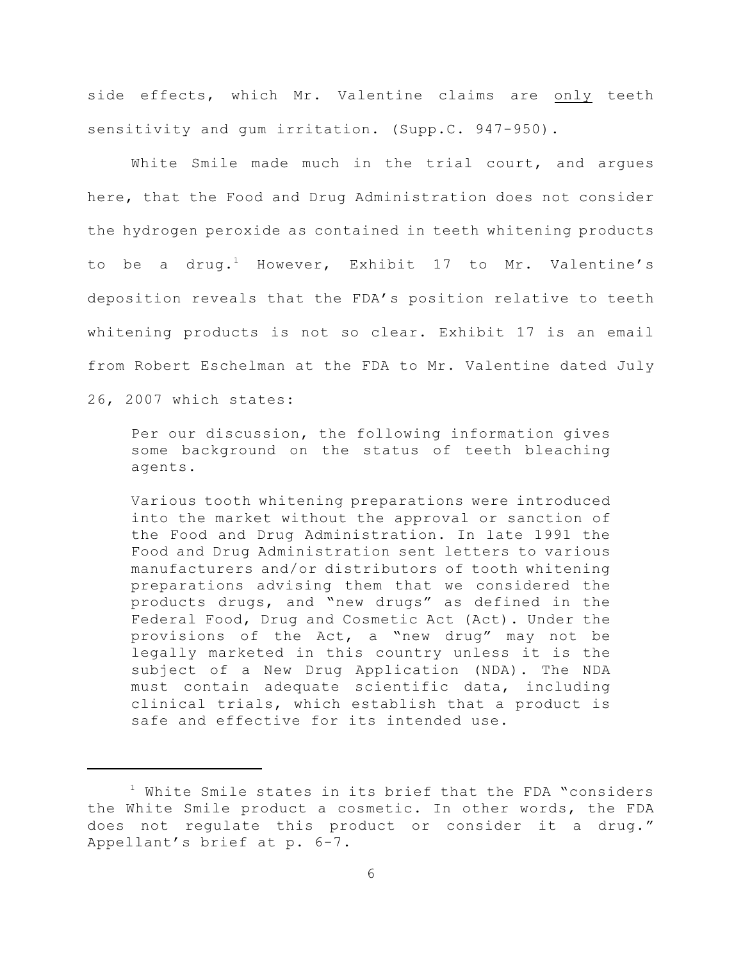side effects, which Mr. Valentine claims are only teeth sensitivity and qum irritation. (Supp.C. 947-950).

White Smile made much in the trial court, and argues here, that the Food and Drug Administration does not consider the hydrogen peroxide as contained in teeth whitening products to be a drug.<sup>1</sup> However, Exhibit 17 to Mr. Valentine's deposition reveals that the FDA's position relative to teeth whitening products is not so clear. Exhibit 17 is an email from Robert Eschelman at the FDA to Mr. Valentine dated July

26, 2007 which states:

Per our discussion, the following information gives some background on the status of teeth bleaching agents.

Various tooth whitening preparations were introduced into the market without the approval or sanction of the Food and Drug Administration. In late 1991 the Food and Drug Administration sent letters to various manufacturers and/or distributors of tooth whitening preparations advising them that we considered the products drugs, and "new drugs" as defined in the Federal Food, Drug and Cosmetic Act (Act). Under the provisions of the Act, a "new drug" may not be legally marketed in this country unless it is the subject of a New Drug Application (NDA). The NDA must contain adequate scientific data, including clinical trials, which establish that a product is safe and effective for its intended use.

<sup>&</sup>lt;sup>1</sup> White Smile states in its brief that the FDA "considers the White Smile product a cosmetic. In other words, the FDA does not regulate this product or consider it a drug." Appellant's brief at p. 6-7.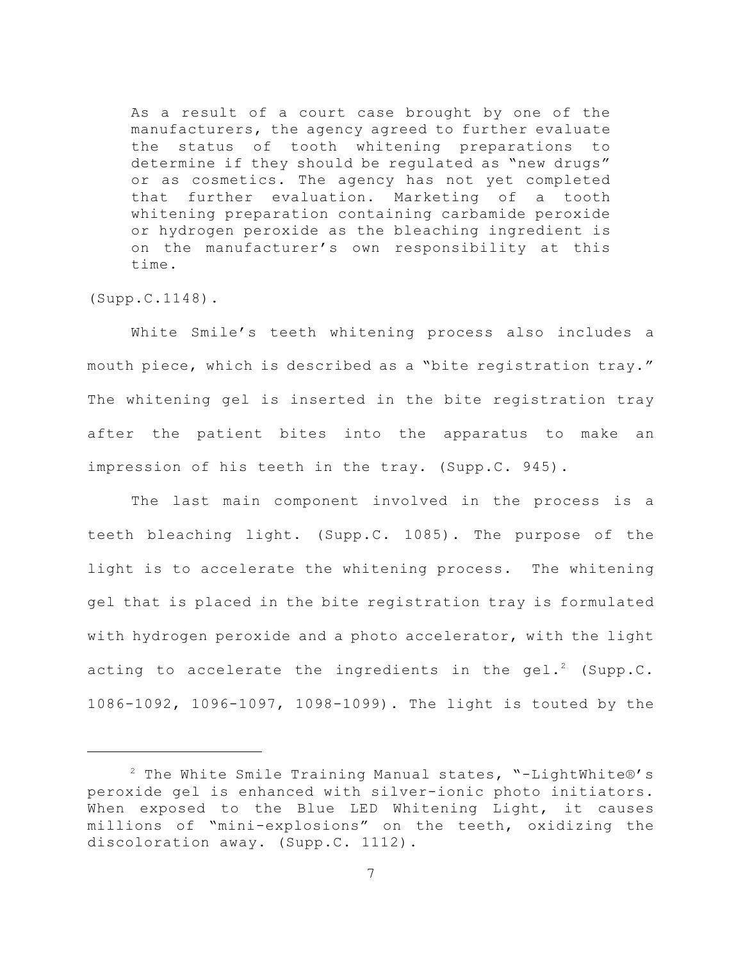As a result of a court case brought by one of the manufacturers, the agency agreed to further evaluate the status of tooth whitening preparations to determine if they should be regulated as "new drugs" or as cosmetics. The agency has not yet completed that further evaluation. Marketing of a tooth whitening preparation containing carbamide peroxide or hydrogen peroxide as the bleaching ingredient is on the manufacturer's own responsibility at this time.

(Supp.C.1148).

White Smile's teeth whitening process also includes a mouth piece, which is described as a "bite registration tray." The whitening gel is inserted in the bite registration tray after the patient bites into the apparatus to make an impression of his teeth in the tray. (Supp.C. 945).

The last main component involved in the process is a teeth bleaching light. (Supp.C. 1085). The purpose of the light is to accelerate the whitening process. The whitening gel that is placed in the bite registration tray is formulated with hydrogen peroxide and a photo accelerator, with the light acting to accelerate the ingredients in the gel.<sup>2</sup> (Supp.C. 1086-1092, 1096-1097, 1098-1099). The light is touted by the

 $2$  The White Smile Training Manual states, "-LightWhite®'s peroxide gel is enhanced with silver-ionic photo initiators. When exposed to the Blue LED Whitening Light, it causes millions of "mini-explosions" on the teeth, oxidizing the discoloration away. (Supp.C. 1112).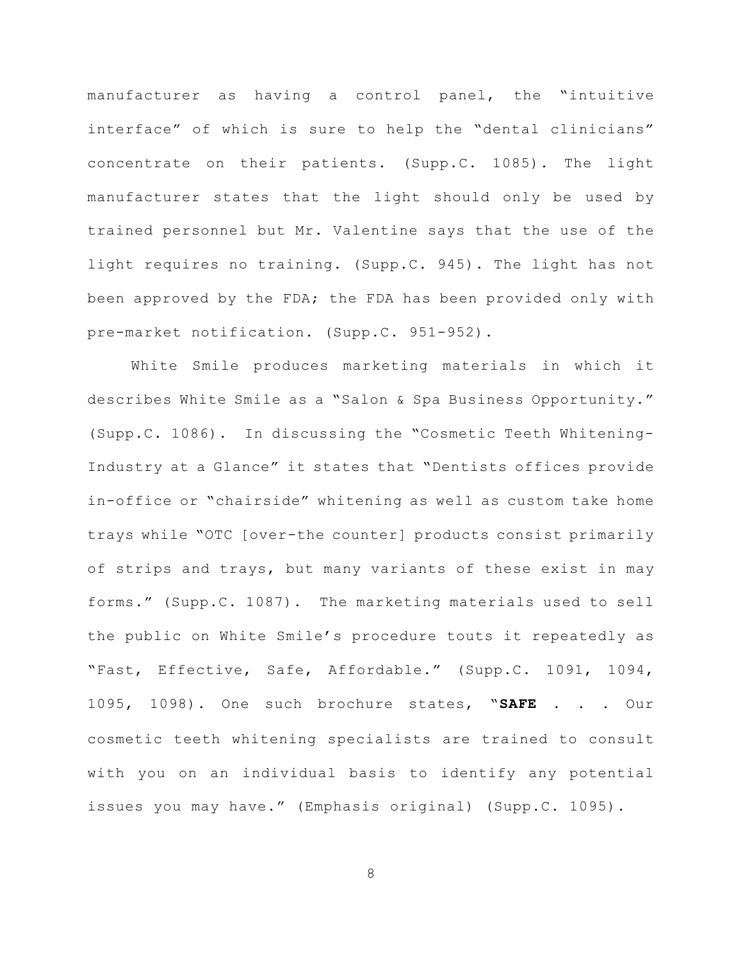manufacturer as having a control panel, the "intuitive interface" of which is sure to help the "dental clinicians" concentrate on their patients. (Supp.C. 1085). The light manufacturer states that the light should only be used by trained personnel but Mr. Valentine says that the use of the light requires no training. (Supp.C. 945). The light has not been approved by the FDA; the FDA has been provided only with pre-market notification. (Supp.C. 951-952).

White Smile produces marketing materials in which it describes White Smile as a "Salon & Spa Business Opportunity." (Supp.C. 1086). In discussing the "Cosmetic Teeth Whitening-Industry at a Glance" it states that "Dentists offices provide in-office or "chairside" whitening as well as custom take home trays while "OTC [over-the counter] products consist primarily of strips and trays, but many variants of these exist in may forms." (Supp.C. 1087). The marketing materials used to sell the public on White Smile's procedure touts it repeatedly as "Fast, Effective, Safe, Affordable." (Supp.C. 1091, 1094, 1095, 1098). One such brochure states, "**SAFE** . . . Our cosmetic teeth whitening specialists are trained to consult with you on an individual basis to identify any potential issues you may have." (Emphasis original) (Supp.C. 1095).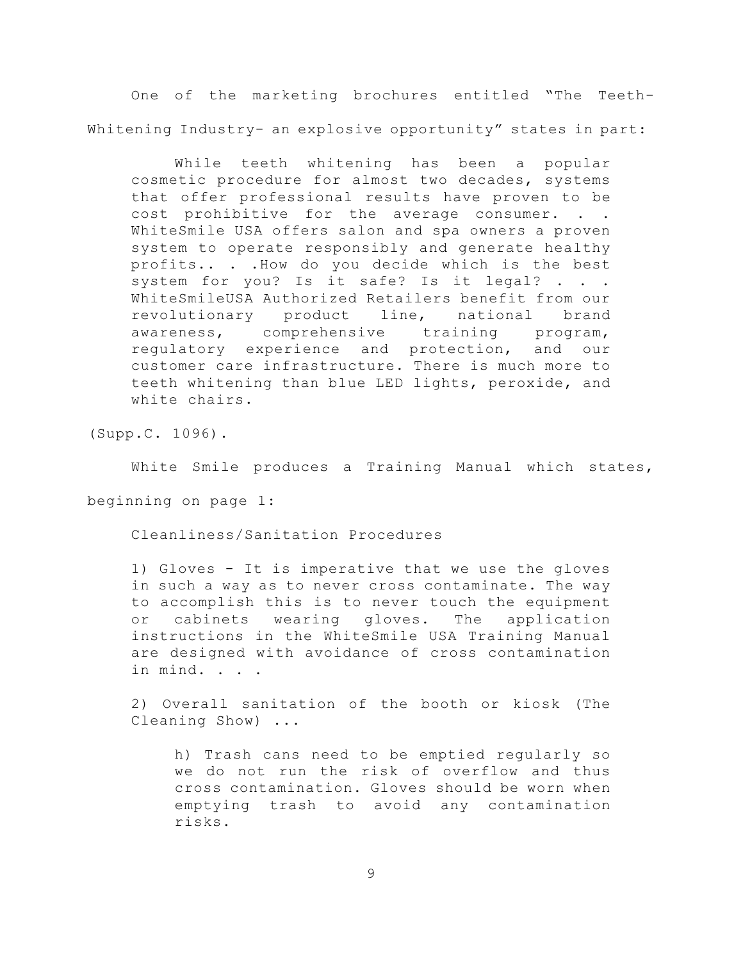One of the marketing brochures entitled "The Teeth-Whitening Industry- an explosive opportunity" states in part:

While teeth whitening has been a popular cosmetic procedure for almost two decades, systems that offer professional results have proven to be cost prohibitive for the average consumer. . . WhiteSmile USA offers salon and spa owners a proven system to operate responsibly and generate healthy profits.. . .How do you decide which is the best system for you? Is it safe? Is it legal? . . WhiteSmileUSA Authorized Retailers benefit from our revolutionary product line, national brand awareness, comprehensive training program, regulatory experience and protection, and our customer care infrastructure. There is much more to teeth whitening than blue LED lights, peroxide, and white chairs.

(Supp.C. 1096).

White Smile produces a Training Manual which states,

beginning on page 1:

Cleanliness/Sanitation Procedures

1) Gloves - It is imperative that we use the gloves in such a way as to never cross contaminate. The way to accomplish this is to never touch the equipment or cabinets wearing gloves. The application instructions in the WhiteSmile USA Training Manual are designed with avoidance of cross contamination in mind. . . .

2) Overall sanitation of the booth or kiosk (The Cleaning Show) ...

h) Trash cans need to be emptied regularly so we do not run the risk of overflow and thus cross contamination. Gloves should be worn when emptying trash to avoid any contamination risks.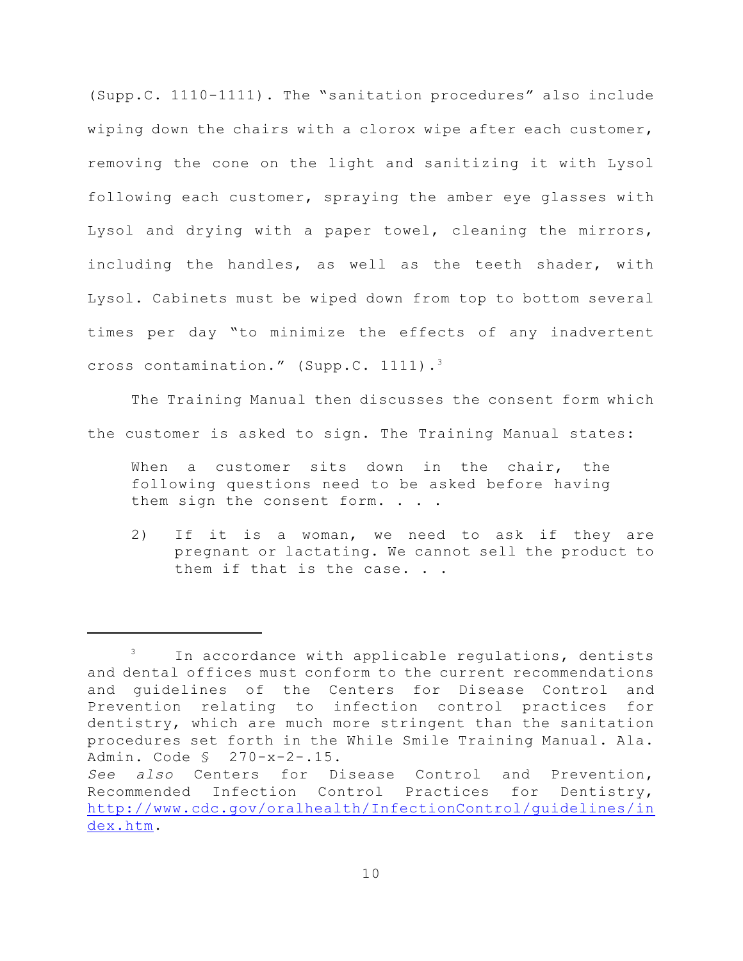(Supp.C. 1110-1111). The "sanitation procedures" also include wiping down the chairs with a clorox wipe after each customer, removing the cone on the light and sanitizing it with Lysol following each customer, spraying the amber eye glasses with Lysol and drying with a paper towel, cleaning the mirrors, including the handles, as well as the teeth shader, with Lysol. Cabinets must be wiped down from top to bottom several times per day "to minimize the effects of any inadvertent cross contamination." (Supp.C. 1111). 3

The Training Manual then discusses the consent form which the customer is asked to sign. The Training Manual states:

When a customer sits down in the chair, the following questions need to be asked before having them sign the consent form. . . .

2) If it is a woman, we need to ask if they are pregnant or lactating. We cannot sell the product to them if that is the case. . .

In accordance with applicable regulations, dentists 3 and dental offices must conform to the current recommendations and guidelines of the Centers for Disease Control and Prevention relating to infection control practices for dentistry, which are much more stringent than the sanitation procedures set forth in the While Smile Training Manual. Ala. Admin. Code § 270-x-2-.15.

*See also* Centers for Disease Control and Prevention, Recommended Infection Control Practices for Dentistry, [http://www.cdc.gov/oralhealth/InfectionControl/guidelines/in](http://www.cdc.gov/oralhealth/InfectionControl/) [dex.htm](http://www.cdc.gov/oralhealth/InfectionControl/).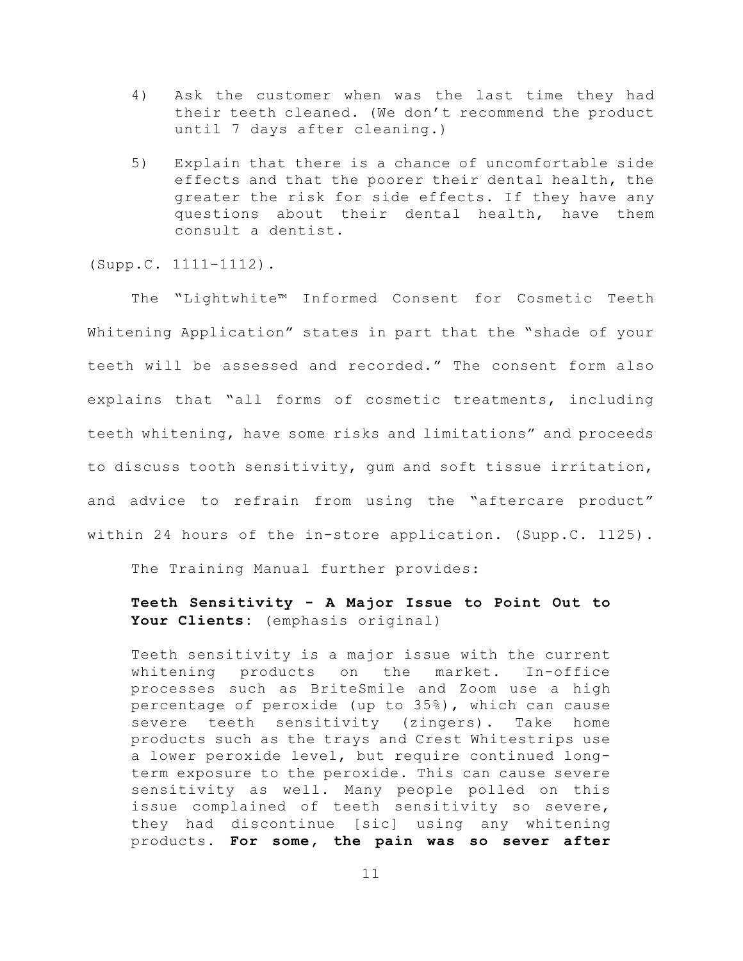- 4) Ask the customer when was the last time they had their teeth cleaned. (We don't recommend the product until 7 days after cleaning.)
- 5) Explain that there is a chance of uncomfortable side effects and that the poorer their dental health, the greater the risk for side effects. If they have any questions about their dental health, have them consult a dentist.

(Supp.C. 1111-1112).

The "Lightwhite™ Informed Consent for Cosmetic Teeth Whitening Application" states in part that the "shade of your teeth will be assessed and recorded." The consent form also explains that "all forms of cosmetic treatments, including teeth whitening, have some risks and limitations" and proceeds to discuss tooth sensitivity, gum and soft tissue irritation, and advice to refrain from using the "aftercare product" within 24 hours of the in-store application. (Supp.C. 1125).

The Training Manual further provides:

### **Teeth Sensitivity - A Major Issue to Point Out to Your Clients:** (emphasis original)

Teeth sensitivity is a major issue with the current whitening products on the market. In-office processes such as BriteSmile and Zoom use a high percentage of peroxide (up to 35%), which can cause severe teeth sensitivity (zingers). Take home products such as the trays and Crest Whitestrips use a lower peroxide level, but require continued longterm exposure to the peroxide. This can cause severe sensitivity as well. Many people polled on this issue complained of teeth sensitivity so severe, they had discontinue [sic] using any whitening products. **For some, the pain was so sever after**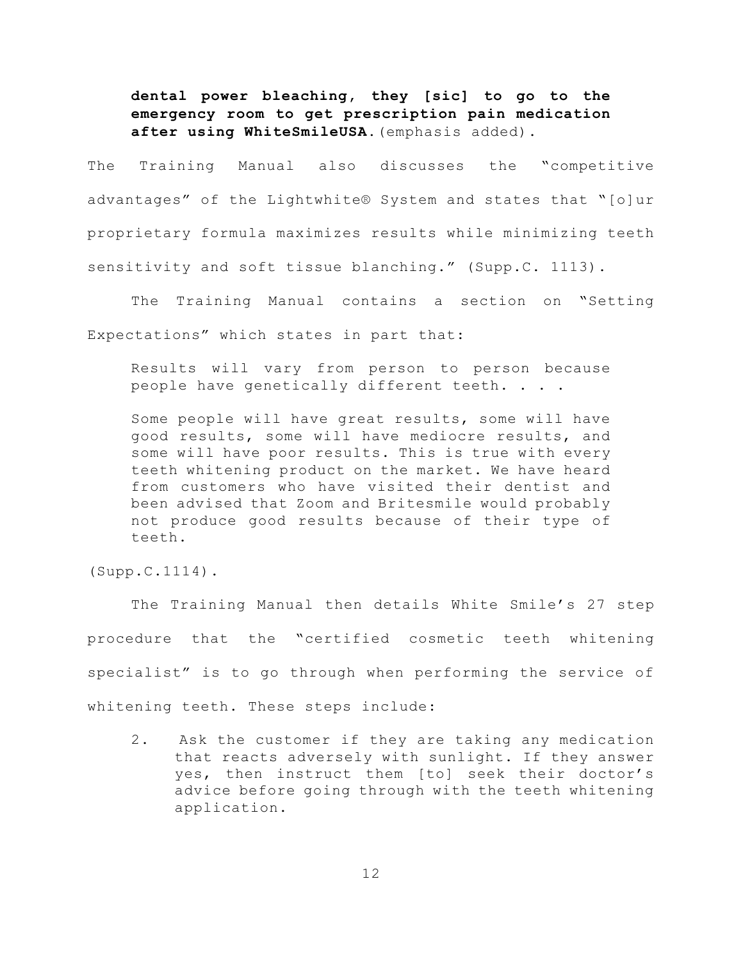**dental power bleaching, they [sic] to go to the emergency room to get prescription pain medication after using WhiteSmileUSA.**(emphasis added).

The Training Manual also discusses the "competitive advantages" of the Lightwhite® System and states that "[o]ur proprietary formula maximizes results while minimizing teeth sensitivity and soft tissue blanching." (Supp.C. 1113).

The Training Manual contains a section on "Setting Expectations" which states in part that:

Results will vary from person to person because people have genetically different teeth. . . .

Some people will have great results, some will have good results, some will have mediocre results, and some will have poor results. This is true with every teeth whitening product on the market. We have heard from customers who have visited their dentist and been advised that Zoom and Britesmile would probably not produce good results because of their type of teeth.

(Supp.C.1114).

The Training Manual then details White Smile's 27 step procedure that the "certified cosmetic teeth whitening specialist" is to go through when performing the service of whitening teeth. These steps include:

2. Ask the customer if they are taking any medication that reacts adversely with sunlight. If they answer yes, then instruct them [to] seek their doctor's advice before going through with the teeth whitening application.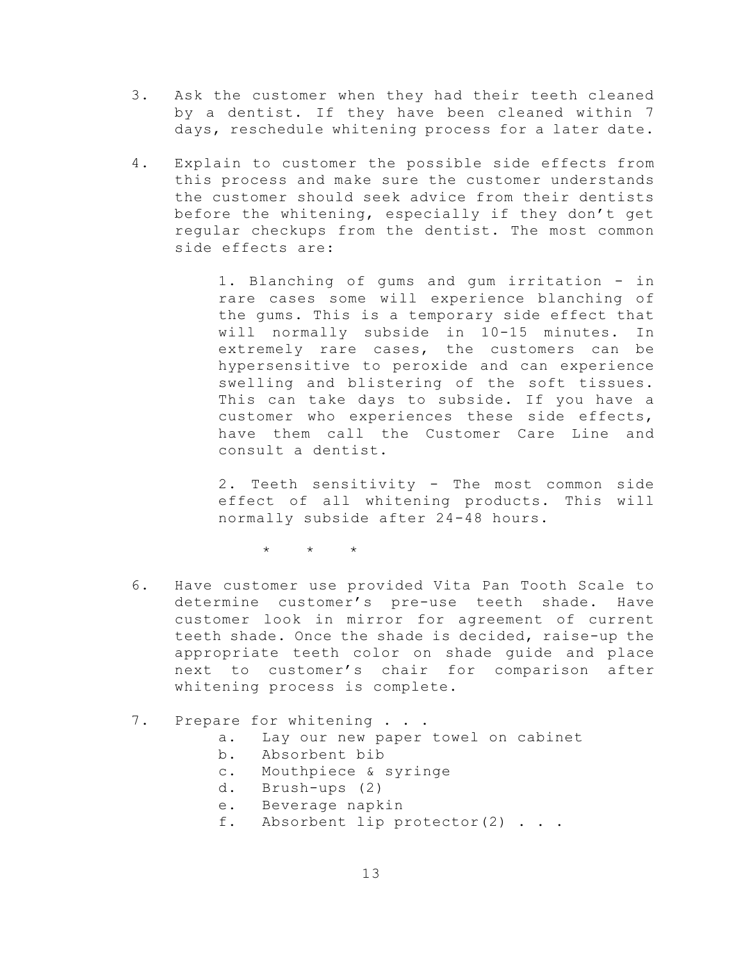- 3. Ask the customer when they had their teeth cleaned by a dentist. If they have been cleaned within 7 days, reschedule whitening process for a later date.
- 4. Explain to customer the possible side effects from this process and make sure the customer understands the customer should seek advice from their dentists before the whitening, especially if they don't get regular checkups from the dentist. The most common side effects are:

1. Blanching of gums and gum irritation - in rare cases some will experience blanching of the gums. This is a temporary side effect that will normally subside in 10-15 minutes. In extremely rare cases, the customers can be hypersensitive to peroxide and can experience swelling and blistering of the soft tissues. This can take days to subside. If you have a customer who experiences these side effects, have them call the Customer Care Line and consult a dentist.

2. Teeth sensitivity - The most common side effect of all whitening products. This will normally subside after 24-48 hours.

\* \* \*

6. Have customer use provided Vita Pan Tooth Scale to determine customer's pre-use teeth shade. Have customer look in mirror for agreement of current teeth shade. Once the shade is decided, raise-up the appropriate teeth color on shade guide and place next to customer's chair for comparison after whitening process is complete.

#### 7. Prepare for whitening . . .

- a. Lay our new paper towel on cabinet
- b. Absorbent bib
- c. Mouthpiece & syringe
- d. Brush-ups (2)
- e. Beverage napkin
- f. Absorbent lip protector(2) . . .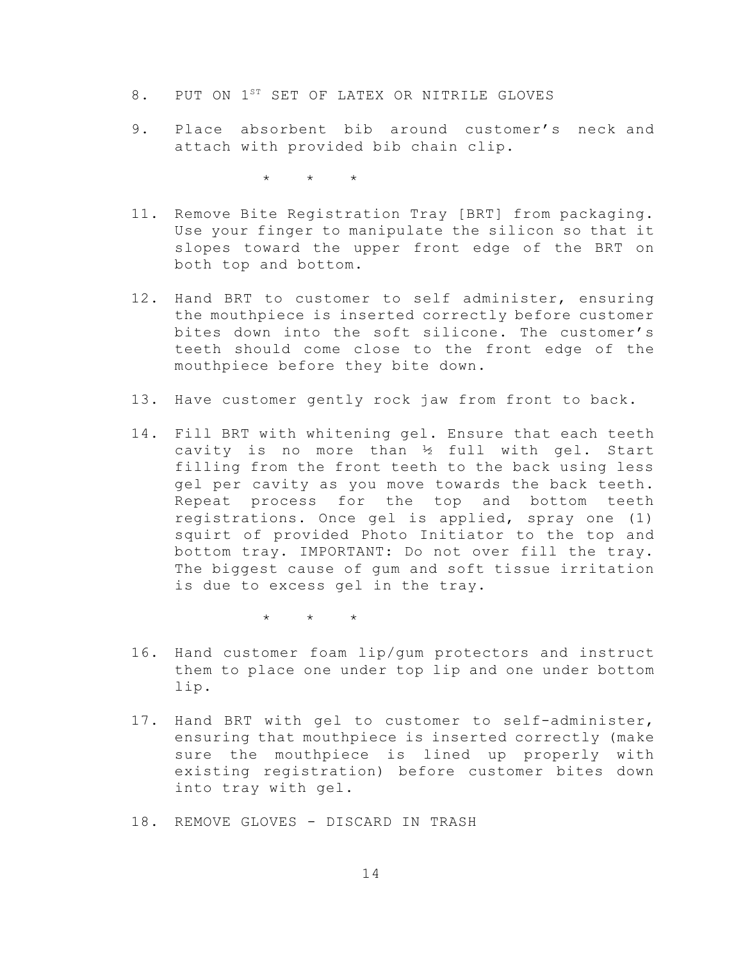- 8. PUT ON 1<sup>ST</sup> SET OF LATEX OR NITRILE GLOVES
- 9. Place absorbent bib around customer's neck and attach with provided bib chain clip.

\* \* \*

- 11. Remove Bite Registration Tray [BRT] from packaging. Use your finger to manipulate the silicon so that it slopes toward the upper front edge of the BRT on both top and bottom.
- 12. Hand BRT to customer to self administer, ensuring the mouthpiece is inserted correctly before customer bites down into the soft silicone. The customer's teeth should come close to the front edge of the mouthpiece before they bite down.
- 13. Have customer gently rock jaw from front to back.
- 14. Fill BRT with whitening gel. Ensure that each teeth cavity is no more than  $\frac{1}{2}$  full with gel. Start filling from the front teeth to the back using less gel per cavity as you move towards the back teeth. Repeat process for the top and bottom teeth registrations. Once gel is applied, spray one (1) squirt of provided Photo Initiator to the top and bottom tray. IMPORTANT: Do not over fill the tray. The biggest cause of gum and soft tissue irritation is due to excess gel in the tray.

 $\star$   $\star$   $\star$ 

- 16. Hand customer foam lip/gum protectors and instruct them to place one under top lip and one under bottom lip.
- 17. Hand BRT with gel to customer to self-administer, ensuring that mouthpiece is inserted correctly (make sure the mouthpiece is lined up properly with existing registration) before customer bites down into tray with gel.
- 18. REMOVE GLOVES DISCARD IN TRASH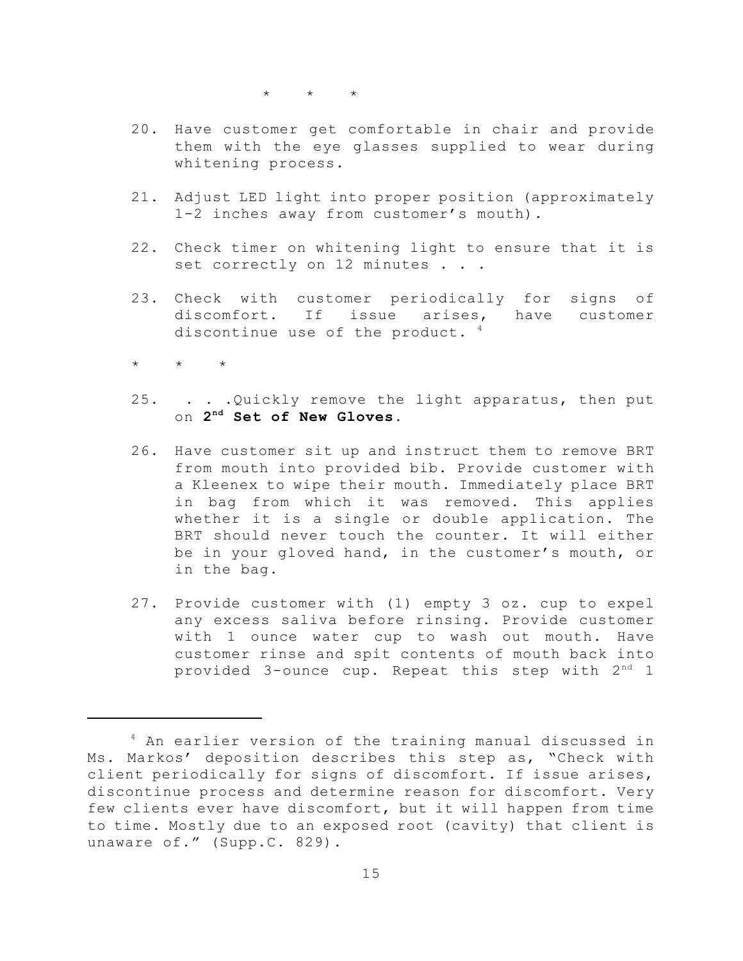$\star$   $\qquad$   $\star$   $\qquad$   $\star$ 

- 20. Have customer get comfortable in chair and provide them with the eye glasses supplied to wear during whitening process.
- 21. Adjust LED light into proper position (approximately 1-2 inches away from customer's mouth).
- 22. Check timer on whitening light to ensure that it is set correctly on 12 minutes . . .
- 23. Check with customer periodically for signs of discomfort. If issue arises, have customer discontinue use of the product.  $4$
- $\star$   $\star$   $\star$
- 25. . . .Quickly remove the light apparatus, then put on  $2^{nd}$  Set of New Gloves.
- 26. Have customer sit up and instruct them to remove BRT from mouth into provided bib. Provide customer with a Kleenex to wipe their mouth. Immediately place BRT in bag from which it was removed. This applies whether it is a single or double application. The BRT should never touch the counter. It will either be in your gloved hand, in the customer's mouth, or in the bag.
- 27. Provide customer with (1) empty 3 oz. cup to expel any excess saliva before rinsing. Provide customer with 1 ounce water cup to wash out mouth. Have customer rinse and spit contents of mouth back into provided 3-ounce cup. Repeat this step with  $2^{\text{nd}}$  1

<sup>&</sup>lt;sup>4</sup> An earlier version of the training manual discussed in Ms. Markos' deposition describes this step as, "Check with client periodically for signs of discomfort. If issue arises, discontinue process and determine reason for discomfort. Very few clients ever have discomfort, but it will happen from time to time. Mostly due to an exposed root (cavity) that client is unaware of." (Supp.C. 829).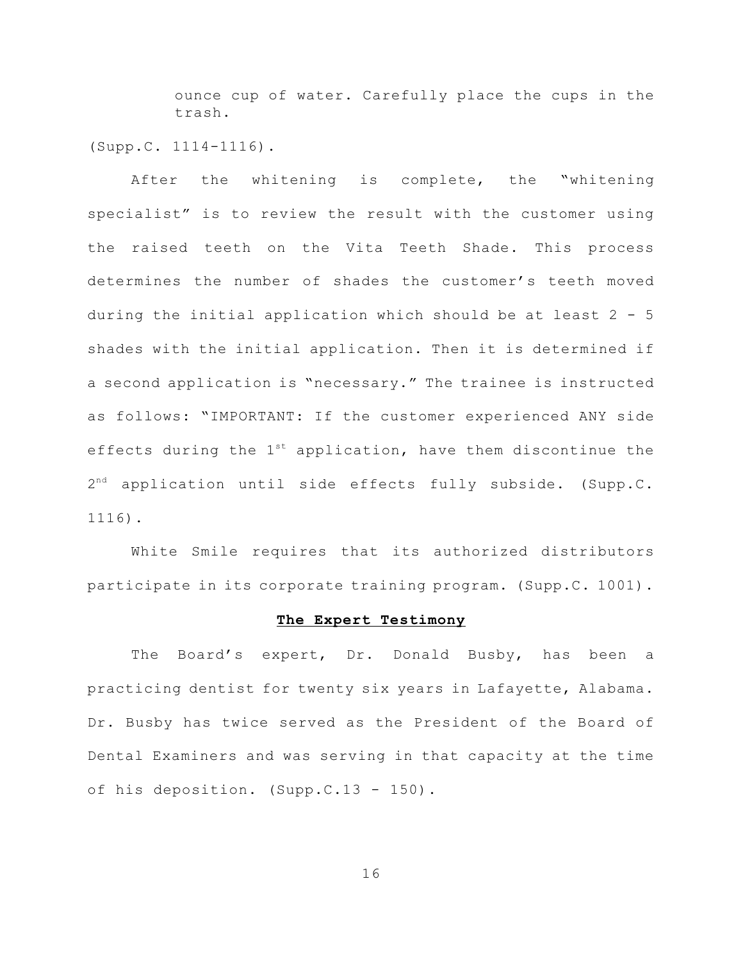ounce cup of water. Carefully place the cups in the trash.

(Supp.C. 1114-1116).

After the whitening is complete, the "whitening specialist" is to review the result with the customer using the raised teeth on the Vita Teeth Shade. This process determines the number of shades the customer's teeth moved during the initial application which should be at least 2 - 5 shades with the initial application. Then it is determined if a second application is "necessary." The trainee is instructed as follows: "IMPORTANT: If the customer experienced ANY side effects during the  $1^{st}$  application, have them discontinue the  $2^{nd}$  application until side effects fully subside. (Supp.C. 1116).

White Smile requires that its authorized distributors participate in its corporate training program. (Supp.C. 1001).

#### **The Expert Testimony**

The Board's expert, Dr. Donald Busby, has been a practicing dentist for twenty six years in Lafayette, Alabama. Dr. Busby has twice served as the President of the Board of Dental Examiners and was serving in that capacity at the time of his deposition. (Supp.C.13 - 150).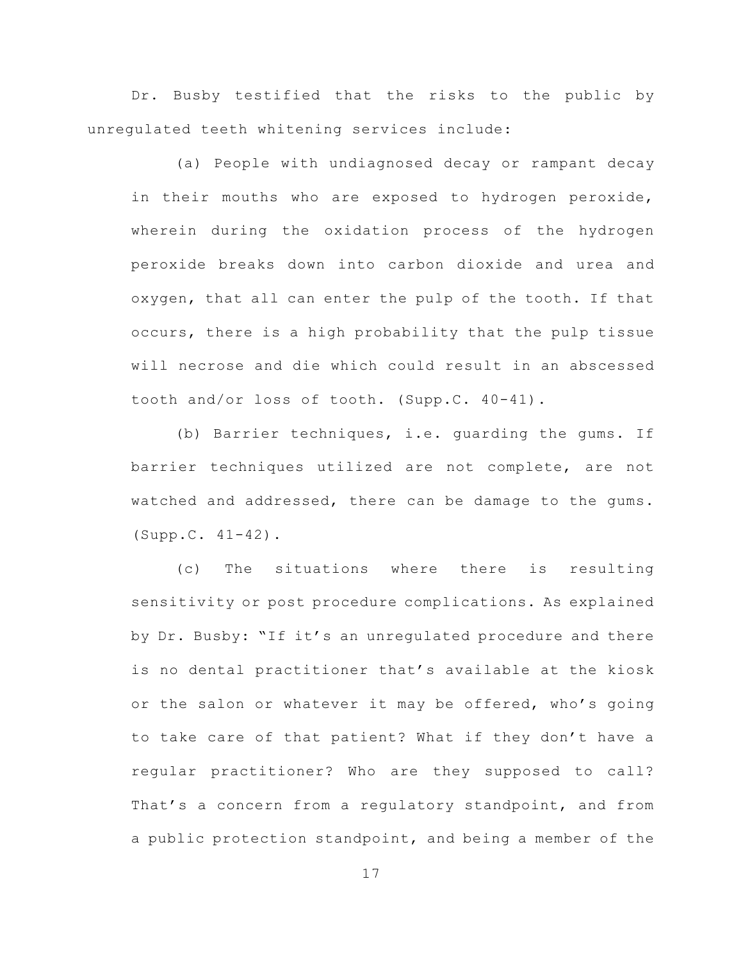Dr. Busby testified that the risks to the public by unregulated teeth whitening services include:

(a) People with undiagnosed decay or rampant decay in their mouths who are exposed to hydrogen peroxide, wherein during the oxidation process of the hydrogen peroxide breaks down into carbon dioxide and urea and oxygen, that all can enter the pulp of the tooth. If that occurs, there is a high probability that the pulp tissue will necrose and die which could result in an abscessed tooth and/or loss of tooth. (Supp.C. 40-41).

(b) Barrier techniques, i.e. guarding the gums. If barrier techniques utilized are not complete, are not watched and addressed, there can be damage to the gums. (Supp.C. 41-42).

(c) The situations where there is resulting sensitivity or post procedure complications. As explained by Dr. Busby: "If it's an unregulated procedure and there is no dental practitioner that's available at the kiosk or the salon or whatever it may be offered, who's going to take care of that patient? What if they don't have a regular practitioner? Who are they supposed to call? That's a concern from a regulatory standpoint, and from a public protection standpoint, and being a member of the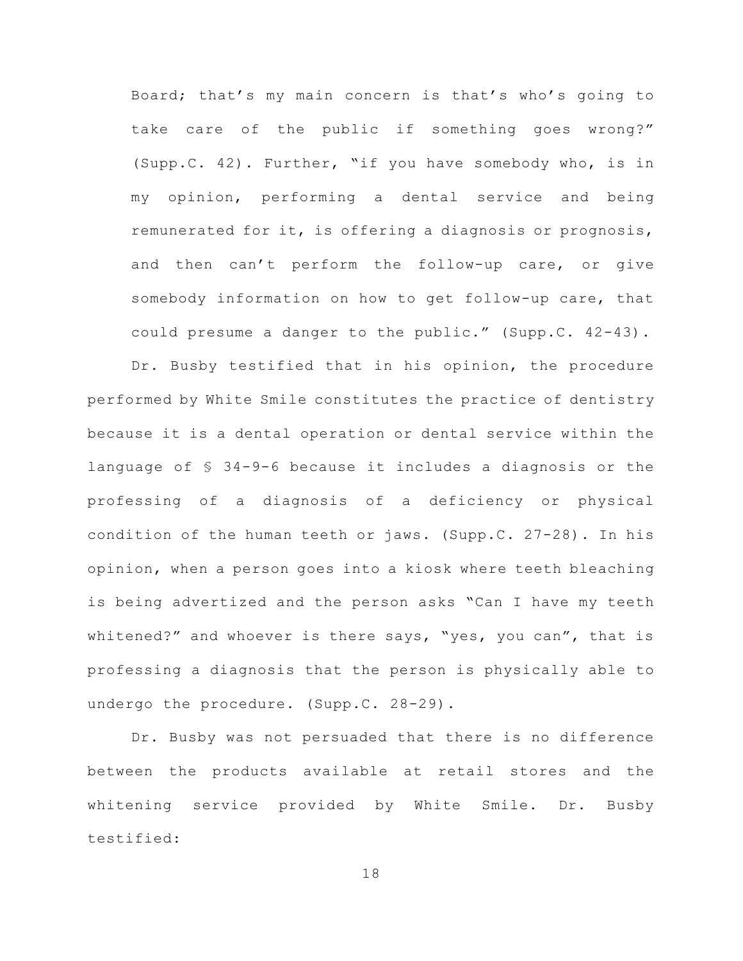Board; that's my main concern is that's who's going to take care of the public if something goes wrong?" (Supp.C. 42). Further, "if you have somebody who, is in my opinion, performing a dental service and being remunerated for it, is offering a diagnosis or prognosis, and then can't perform the follow-up care, or give somebody information on how to get follow-up care, that could presume a danger to the public." (Supp.C. 42-43).

Dr. Busby testified that in his opinion, the procedure performed by White Smile constitutes the practice of dentistry because it is a dental operation or dental service within the language of § 34-9-6 because it includes a diagnosis or the professing of a diagnosis of a deficiency or physical condition of the human teeth or jaws. (Supp.C. 27-28). In his opinion, when a person goes into a kiosk where teeth bleaching is being advertized and the person asks "Can I have my teeth whitened?" and whoever is there says, "yes, you can", that is professing a diagnosis that the person is physically able to undergo the procedure. (Supp.C. 28-29).

Dr. Busby was not persuaded that there is no difference between the products available at retail stores and the whitening service provided by White Smile. Dr. Busby testified: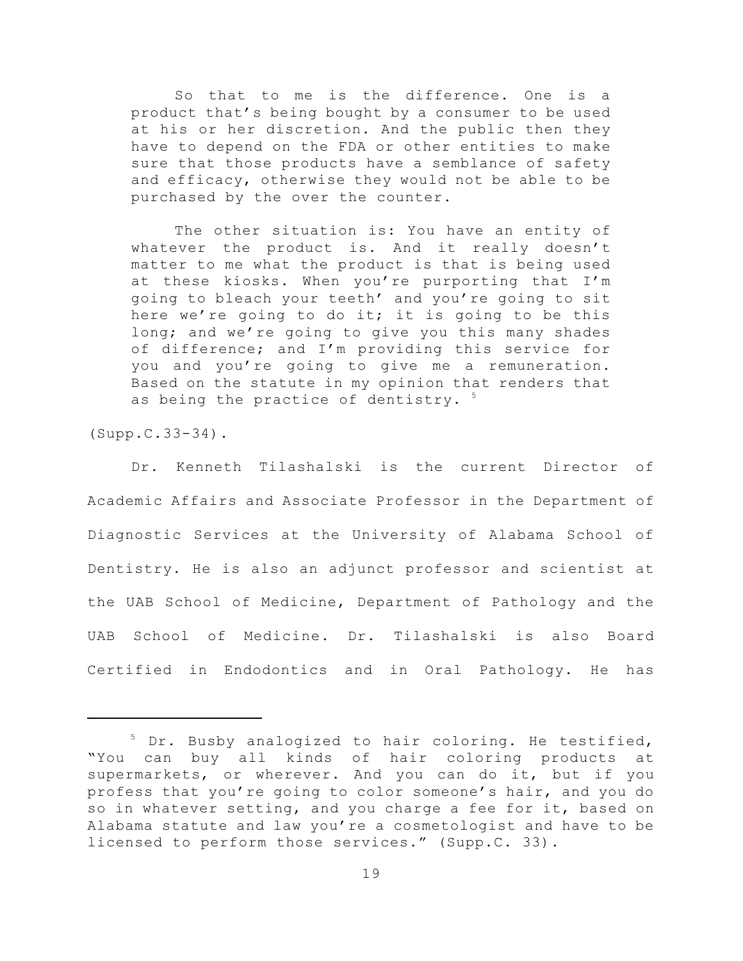So that to me is the difference. One is a product that's being bought by a consumer to be used at his or her discretion. And the public then they have to depend on the FDA or other entities to make sure that those products have a semblance of safety and efficacy, otherwise they would not be able to be purchased by the over the counter.

The other situation is: You have an entity of whatever the product is. And it really doesn't matter to me what the product is that is being used at these kiosks. When you're purporting that I'm going to bleach your teeth' and you're going to sit here we're going to do it; it is going to be this long; and we're going to give you this many shades of difference; and I'm providing this service for you and you're going to give me a remuneration. Based on the statute in my opinion that renders that as being the practice of dentistry. <sup>5</sup>

(Supp.C.33-34).

Dr. Kenneth Tilashalski is the current Director of Academic Affairs and Associate Professor in the Department of Diagnostic Services at the University of Alabama School of Dentistry. He is also an adjunct professor and scientist at the UAB School of Medicine, Department of Pathology and the UAB School of Medicine. Dr. Tilashalski is also Board Certified in Endodontics and in Oral Pathology. He has

<sup>&</sup>lt;sup>5</sup> Dr. Busby analogized to hair coloring. He testified, "You can buy all kinds of hair coloring products at supermarkets, or wherever. And you can do it, but if you profess that you're going to color someone's hair, and you do so in whatever setting, and you charge a fee for it, based on Alabama statute and law you're a cosmetologist and have to be licensed to perform those services." (Supp.C. 33).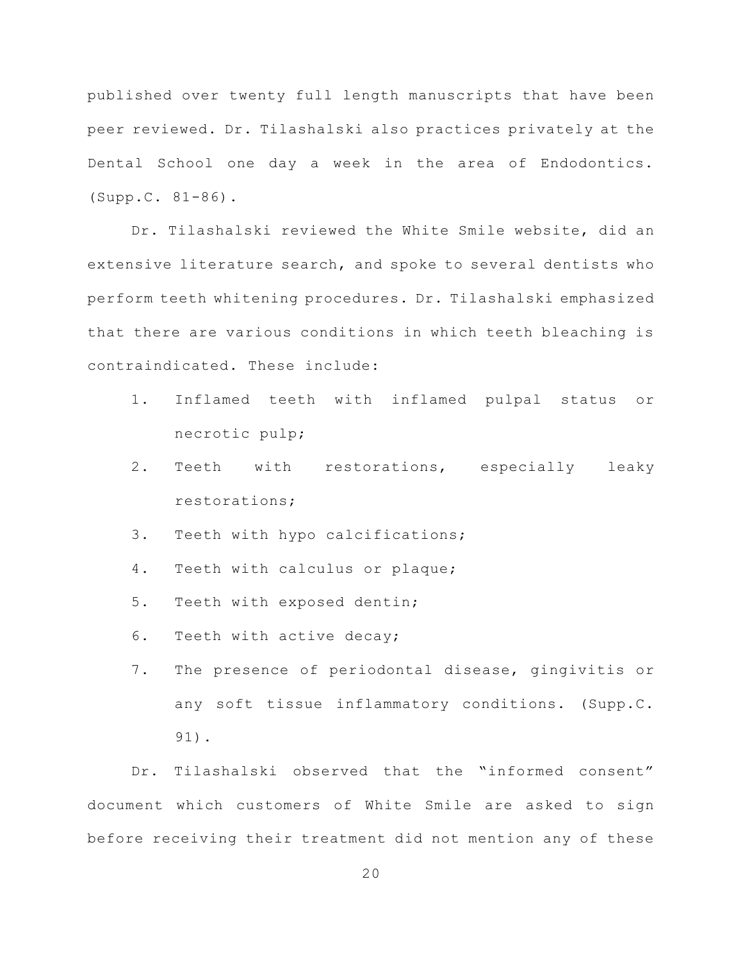published over twenty full length manuscripts that have been peer reviewed. Dr. Tilashalski also practices privately at the Dental School one day a week in the area of Endodontics. (Supp.C. 81-86).

Dr. Tilashalski reviewed the White Smile website, did an extensive literature search, and spoke to several dentists who perform teeth whitening procedures. Dr. Tilashalski emphasized that there are various conditions in which teeth bleaching is contraindicated. These include:

- 1. Inflamed teeth with inflamed pulpal status or necrotic pulp;
- 2. Teeth with restorations, especially leaky restorations;
- 3. Teeth with hypo calcifications;
- 4. Teeth with calculus or plaque;
- 5. Teeth with exposed dentin;
- 6. Teeth with active decay;
- 7. The presence of periodontal disease, gingivitis or any soft tissue inflammatory conditions. (Supp.C. 91).

Dr. Tilashalski observed that the "informed consent" document which customers of White Smile are asked to sign before receiving their treatment did not mention any of these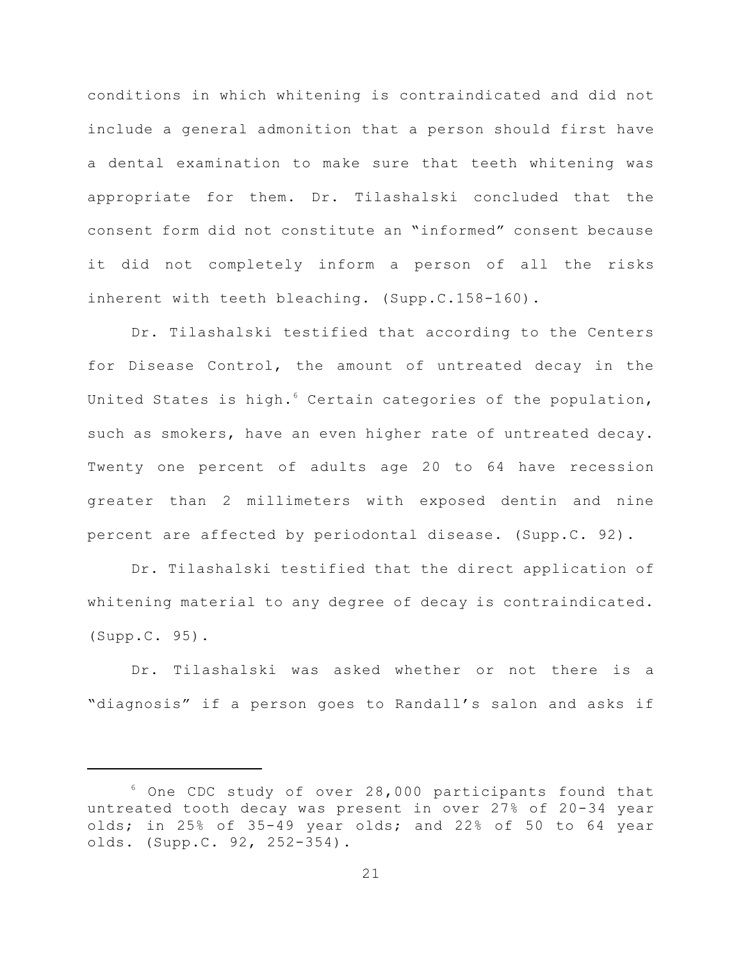conditions in which whitening is contraindicated and did not include a general admonition that a person should first have a dental examination to make sure that teeth whitening was appropriate for them. Dr. Tilashalski concluded that the consent form did not constitute an "informed" consent because it did not completely inform a person of all the risks inherent with teeth bleaching. (Supp.C.158-160).

Dr. Tilashalski testified that according to the Centers for Disease Control, the amount of untreated decay in the United States is high.<sup>6</sup> Certain categories of the population, such as smokers, have an even higher rate of untreated decay. Twenty one percent of adults age 20 to 64 have recession greater than 2 millimeters with exposed dentin and nine percent are affected by periodontal disease. (Supp.C. 92).

Dr. Tilashalski testified that the direct application of whitening material to any degree of decay is contraindicated. (Supp.C. 95).

Dr. Tilashalski was asked whether or not there is a "diagnosis" if a person goes to Randall's salon and asks if

 $6$  One CDC study of over 28,000 participants found that untreated tooth decay was present in over 27% of 20-34 year olds; in 25% of 35-49 year olds; and 22% of 50 to 64 year olds. (Supp.C. 92, 252-354).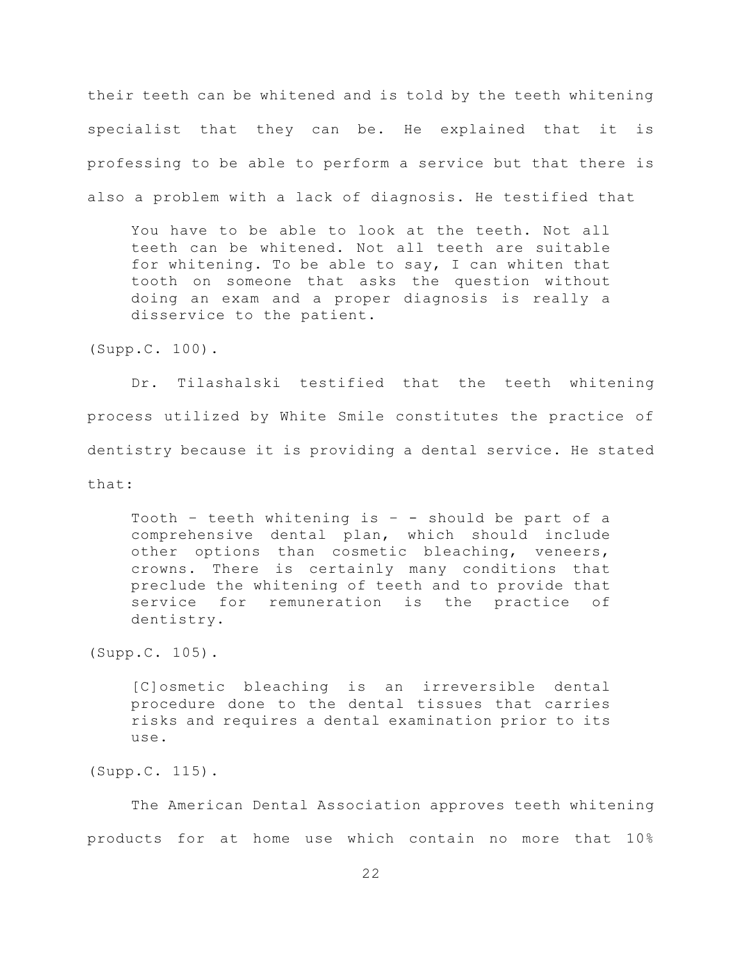their teeth can be whitened and is told by the teeth whitening specialist that they can be. He explained that it is professing to be able to perform a service but that there is also a problem with a lack of diagnosis. He testified that

You have to be able to look at the teeth. Not all teeth can be whitened. Not all teeth are suitable for whitening. To be able to say, I can whiten that tooth on someone that asks the question without doing an exam and a proper diagnosis is really a disservice to the patient.

(Supp.C. 100).

Dr. Tilashalski testified that the teeth whitening process utilized by White Smile constitutes the practice of dentistry because it is providing a dental service. He stated that:

Tooth - teeth whitening is - - should be part of a comprehensive dental plan, which should include other options than cosmetic bleaching, veneers, crowns. There is certainly many conditions that preclude the whitening of teeth and to provide that service for remuneration is the practice of dentistry.

(Supp.C. 105).

[C]osmetic bleaching is an irreversible dental procedure done to the dental tissues that carries risks and requires a dental examination prior to its use.

(Supp.C. 115).

The American Dental Association approves teeth whitening products for at home use which contain no more that 10%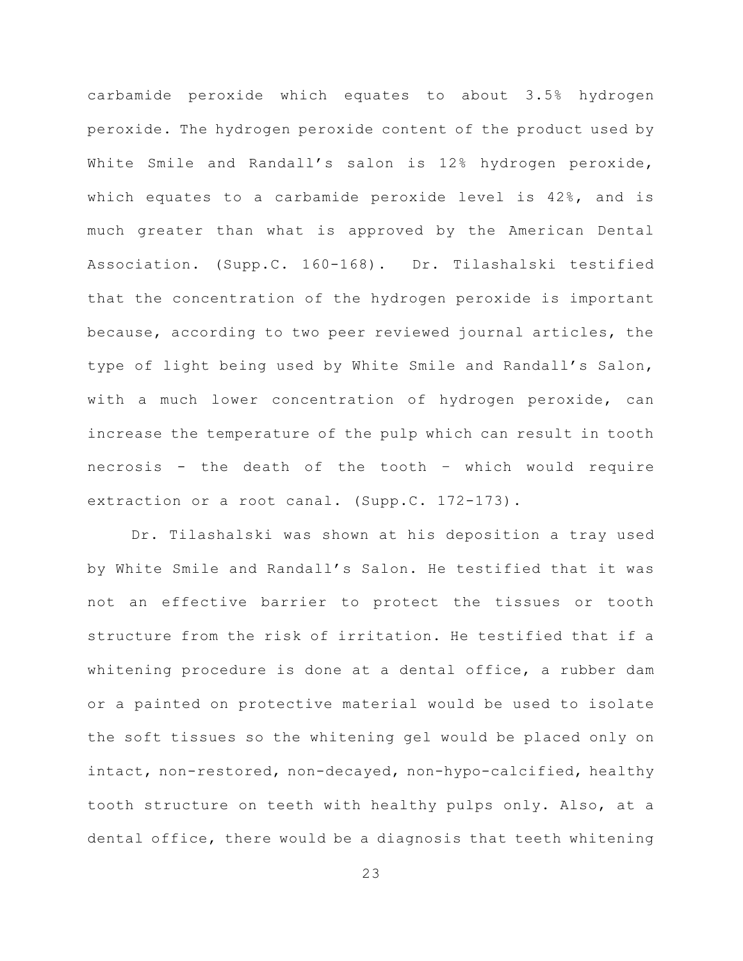carbamide peroxide which equates to about 3.5% hydrogen peroxide. The hydrogen peroxide content of the product used by White Smile and Randall's salon is 12% hydrogen peroxide, which equates to a carbamide peroxide level is 42%, and is much greater than what is approved by the American Dental Association. (Supp.C. 160-168). Dr. Tilashalski testified that the concentration of the hydrogen peroxide is important because, according to two peer reviewed journal articles, the type of light being used by White Smile and Randall's Salon, with a much lower concentration of hydrogen peroxide, can increase the temperature of the pulp which can result in tooth necrosis - the death of the tooth – which would require extraction or a root canal. (Supp.C. 172-173).

Dr. Tilashalski was shown at his deposition a tray used by White Smile and Randall's Salon. He testified that it was not an effective barrier to protect the tissues or tooth structure from the risk of irritation. He testified that if a whitening procedure is done at a dental office, a rubber dam or a painted on protective material would be used to isolate the soft tissues so the whitening gel would be placed only on intact, non-restored, non-decayed, non-hypo-calcified, healthy tooth structure on teeth with healthy pulps only. Also, at a dental office, there would be a diagnosis that teeth whitening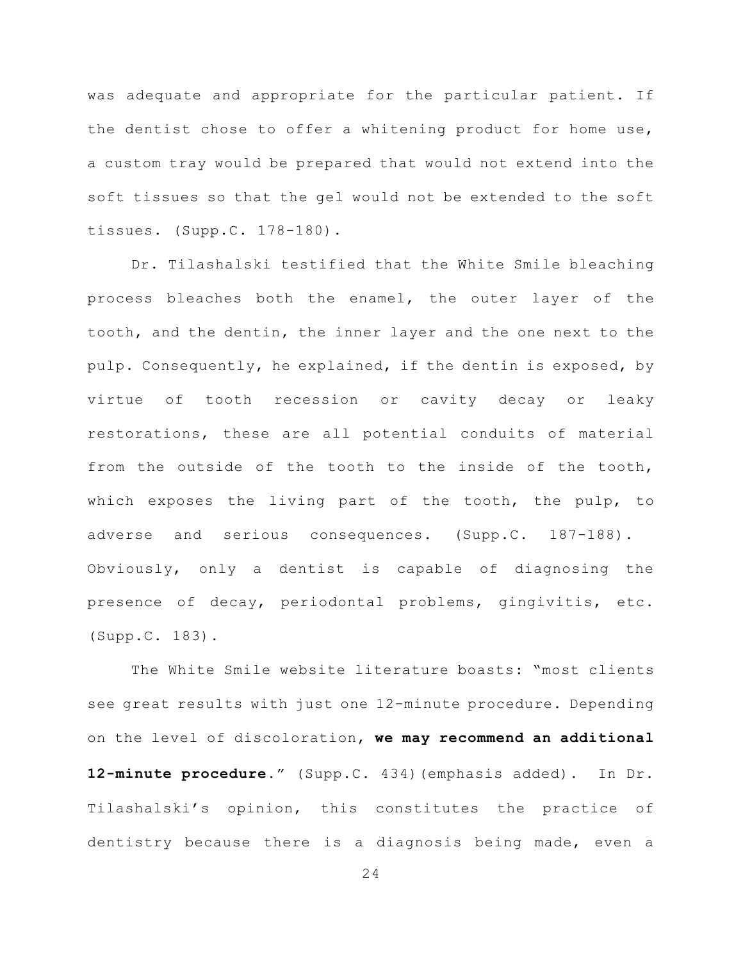was adequate and appropriate for the particular patient. If the dentist chose to offer a whitening product for home use, a custom tray would be prepared that would not extend into the soft tissues so that the gel would not be extended to the soft tissues. (Supp.C. 178-180).

Dr. Tilashalski testified that the White Smile bleaching process bleaches both the enamel, the outer layer of the tooth, and the dentin, the inner layer and the one next to the pulp. Consequently, he explained, if the dentin is exposed, by virtue of tooth recession or cavity decay or leaky restorations, these are all potential conduits of material from the outside of the tooth to the inside of the tooth, which exposes the living part of the tooth, the pulp, to adverse and serious consequences. (Supp.C. 187-188). Obviously, only a dentist is capable of diagnosing the presence of decay, periodontal problems, gingivitis, etc. (Supp.C. 183).

The White Smile website literature boasts: "most clients see great results with just one 12-minute procedure. Depending on the level of discoloration, **we may recommend an additional 12-minute procedure.**" (Supp.C. 434)(emphasis added). In Dr. Tilashalski's opinion, this constitutes the practice of dentistry because there is a diagnosis being made, even a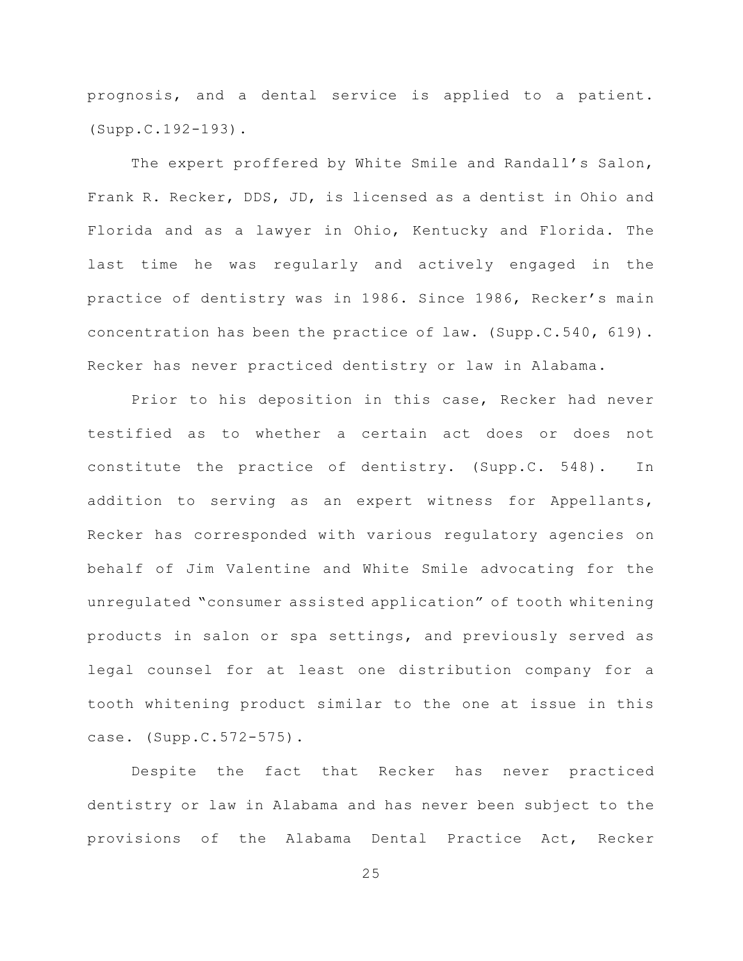prognosis, and a dental service is applied to a patient. (Supp.C.192-193).

The expert proffered by White Smile and Randall's Salon, Frank R. Recker, DDS, JD, is licensed as a dentist in Ohio and Florida and as a lawyer in Ohio, Kentucky and Florida. The last time he was regularly and actively engaged in the practice of dentistry was in 1986. Since 1986, Recker's main concentration has been the practice of law. (Supp.C.540, 619). Recker has never practiced dentistry or law in Alabama.

Prior to his deposition in this case, Recker had never testified as to whether a certain act does or does not constitute the practice of dentistry. (Supp.C. 548). In addition to serving as an expert witness for Appellants, Recker has corresponded with various regulatory agencies on behalf of Jim Valentine and White Smile advocating for the unregulated "consumer assisted application" of tooth whitening products in salon or spa settings, and previously served as legal counsel for at least one distribution company for a tooth whitening product similar to the one at issue in this case. (Supp.C.572-575).

Despite the fact that Recker has never practiced dentistry or law in Alabama and has never been subject to the provisions of the Alabama Dental Practice Act, Recker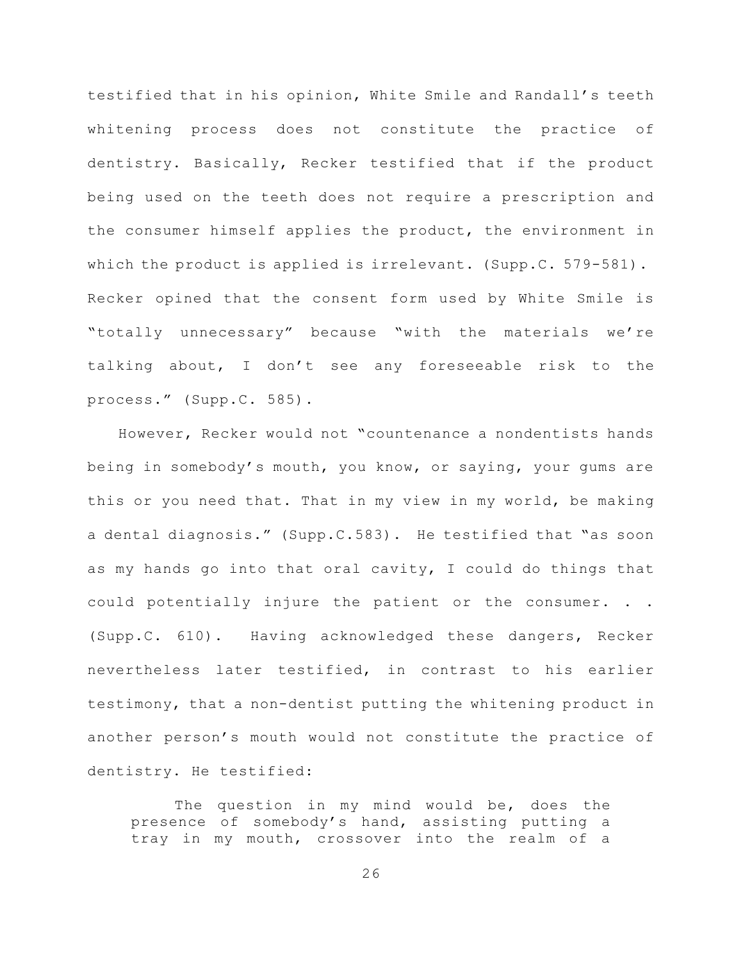testified that in his opinion, White Smile and Randall's teeth whitening process does not constitute the practice of dentistry. Basically, Recker testified that if the product being used on the teeth does not require a prescription and the consumer himself applies the product, the environment in which the product is applied is irrelevant. (Supp.C. 579-581). Recker opined that the consent form used by White Smile is "totally unnecessary" because "with the materials we're talking about, I don't see any foreseeable risk to the process." (Supp.C. 585).

However, Recker would not "countenance a nondentists hands being in somebody's mouth, you know, or saying, your gums are this or you need that. That in my view in my world, be making a dental diagnosis." (Supp.C.583). He testified that "as soon as my hands go into that oral cavity, I could do things that could potentially injure the patient or the consumer. . . (Supp.C. 610). Having acknowledged these dangers, Recker nevertheless later testified, in contrast to his earlier testimony, that a non-dentist putting the whitening product in another person's mouth would not constitute the practice of dentistry. He testified:

The question in my mind would be, does the presence of somebody's hand, assisting putting a tray in my mouth, crossover into the realm of a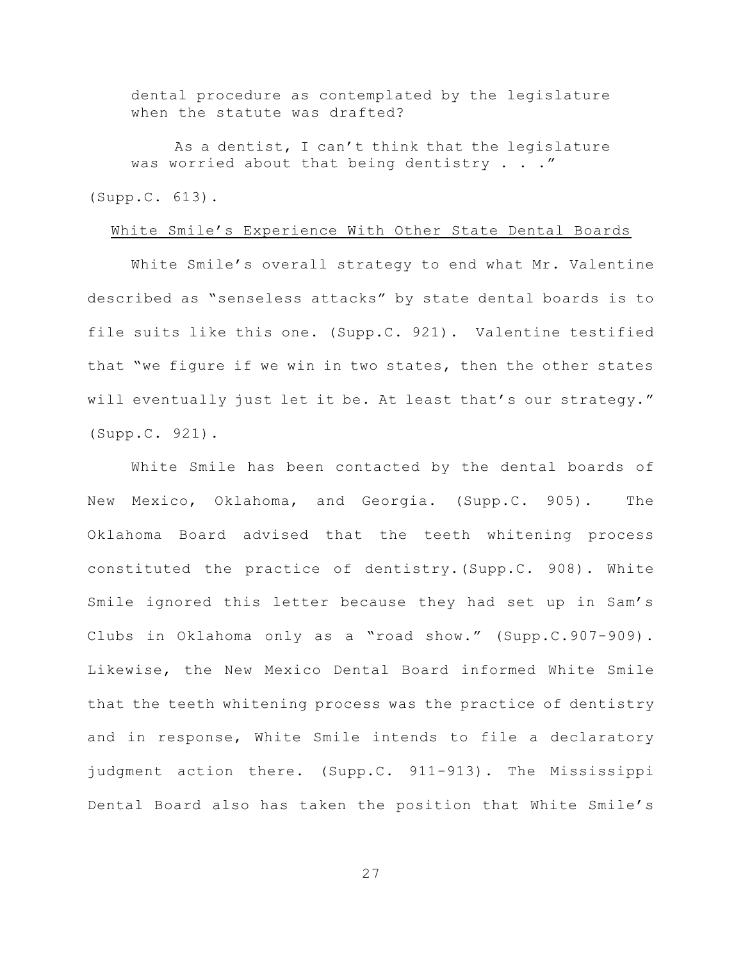dental procedure as contemplated by the legislature when the statute was drafted?

As a dentist, I can't think that the legislature was worried about that being dentistry . . ."

(Supp.C. 613).

### White Smile's Experience With Other State Dental Boards

White Smile's overall strategy to end what Mr. Valentine described as "senseless attacks" by state dental boards is to file suits like this one. (Supp.C. 921). Valentine testified that "we figure if we win in two states, then the other states will eventually just let it be. At least that's our strategy." (Supp.C. 921).

White Smile has been contacted by the dental boards of New Mexico, Oklahoma, and Georgia. (Supp.C. 905). The Oklahoma Board advised that the teeth whitening process constituted the practice of dentistry.(Supp.C. 908). White Smile ignored this letter because they had set up in Sam's Clubs in Oklahoma only as a "road show." (Supp.C.907-909). Likewise, the New Mexico Dental Board informed White Smile that the teeth whitening process was the practice of dentistry and in response, White Smile intends to file a declaratory judgment action there. (Supp.C. 911-913). The Mississippi Dental Board also has taken the position that White Smile's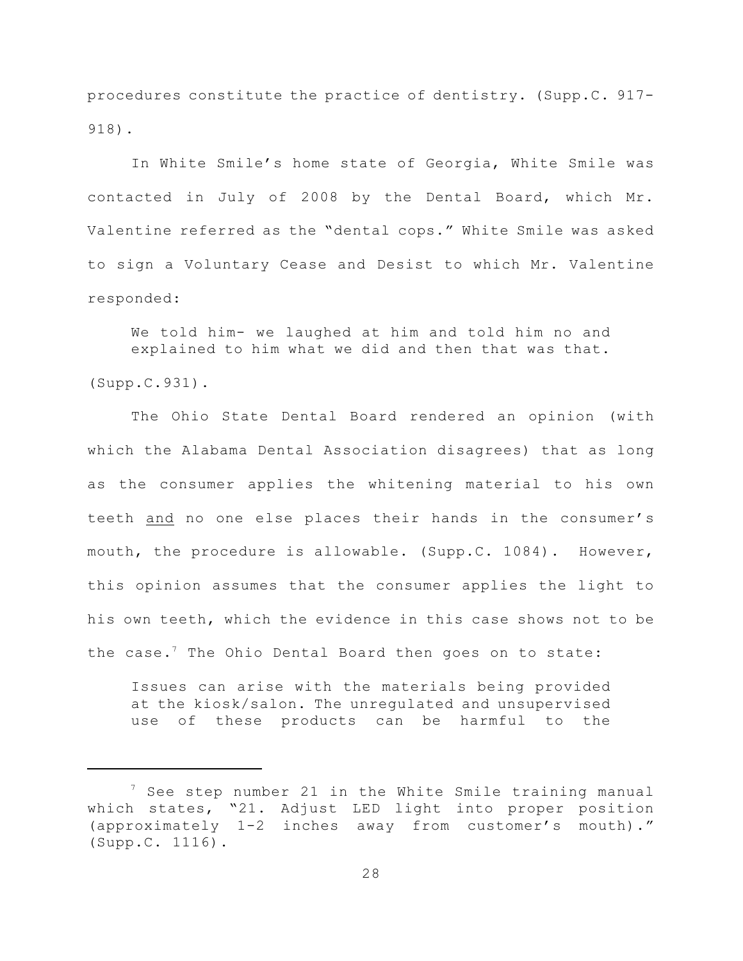procedures constitute the practice of dentistry. (Supp.C. 917- 918).

In White Smile's home state of Georgia, White Smile was contacted in July of 2008 by the Dental Board, which Mr. Valentine referred as the "dental cops." White Smile was asked to sign a Voluntary Cease and Desist to which Mr. Valentine responded:

We told him- we laughed at him and told him no and explained to him what we did and then that was that.

(Supp.C.931).

The Ohio State Dental Board rendered an opinion (with which the Alabama Dental Association disagrees) that as long as the consumer applies the whitening material to his own teeth and no one else places their hands in the consumer's mouth, the procedure is allowable. (Supp.C. 1084). However, this opinion assumes that the consumer applies the light to his own teeth, which the evidence in this case shows not to be the case.<sup>7</sup> The Ohio Dental Board then goes on to state:

Issues can arise with the materials being provided at the kiosk/salon. The unregulated and unsupervised use of these products can be harmful to the

 $7$  See step number 21 in the White Smile training manual which states, "21. Adjust LED light into proper position (approximately 1-2 inches away from customer's mouth)." (Supp.C. 1116).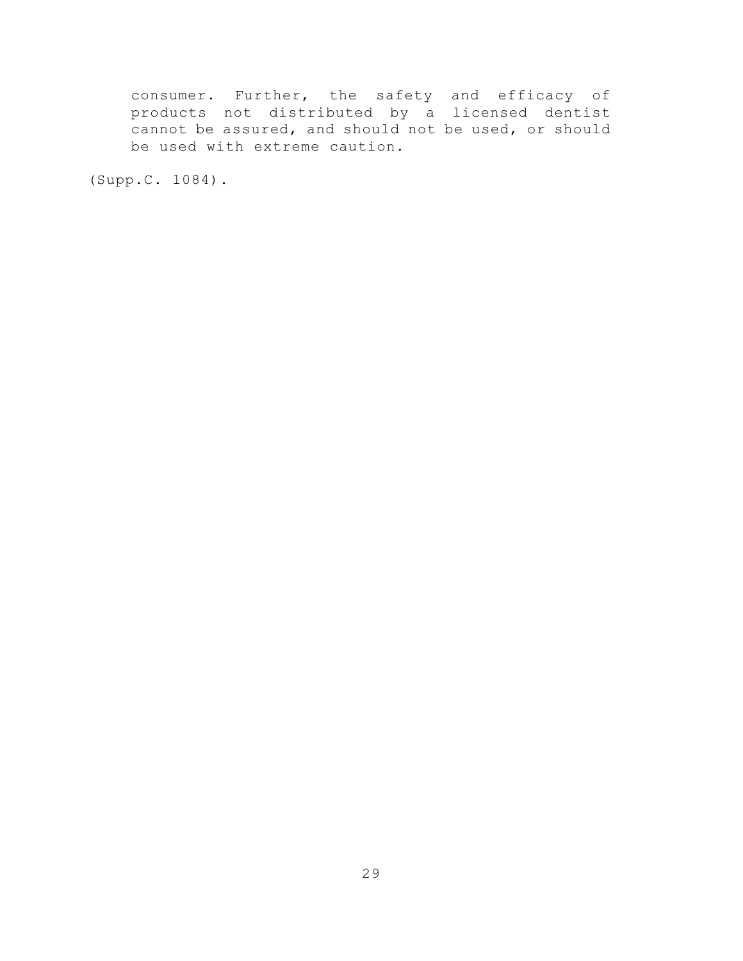consumer. Further, the safety and efficacy of products not distributed by a licensed dentist cannot be assured, and should not be used, or should be used with extreme caution.

(Supp.C. 1084).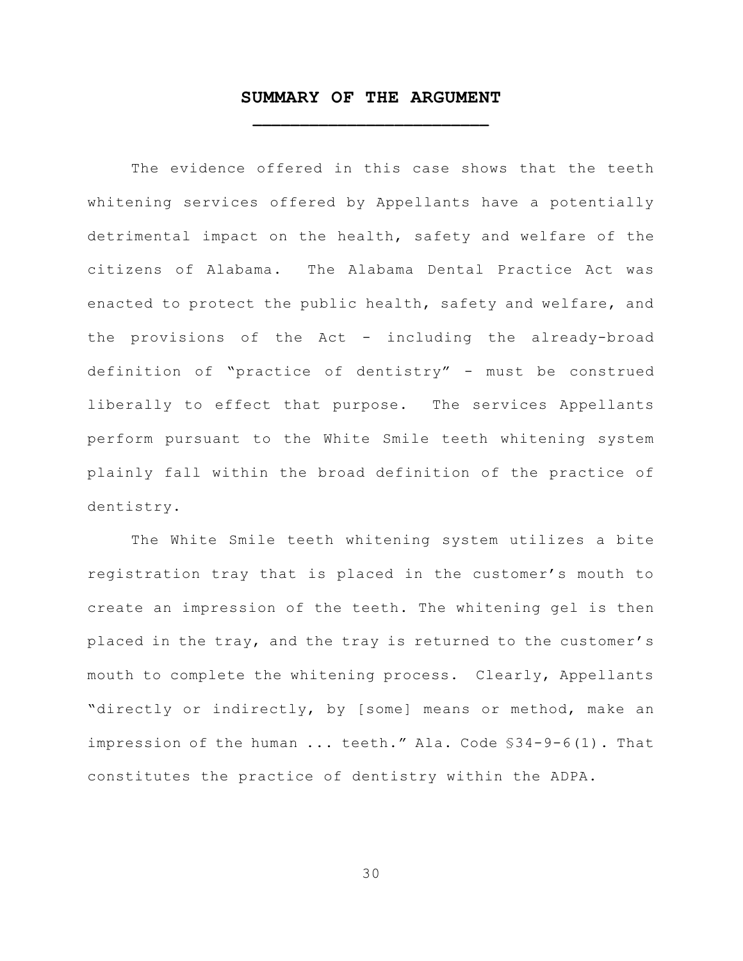## **SUMMARY OF THE ARGUMENT \_\_\_\_\_\_\_\_\_\_\_\_\_\_\_\_\_\_\_\_\_\_\_\_\_**

The evidence offered in this case shows that the teeth whitening services offered by Appellants have a potentially detrimental impact on the health, safety and welfare of the citizens of Alabama. The Alabama Dental Practice Act was enacted to protect the public health, safety and welfare, and the provisions of the Act - including the already-broad definition of "practice of dentistry" - must be construed liberally to effect that purpose. The services Appellants perform pursuant to the White Smile teeth whitening system plainly fall within the broad definition of the practice of dentistry.

The White Smile teeth whitening system utilizes a bite registration tray that is placed in the customer's mouth to create an impression of the teeth. The whitening gel is then placed in the tray, and the tray is returned to the customer's mouth to complete the whitening process. Clearly, Appellants "directly or indirectly, by [some] means or method, make an impression of the human ... teeth." Ala. Code §34-9-6(1). That constitutes the practice of dentistry within the ADPA.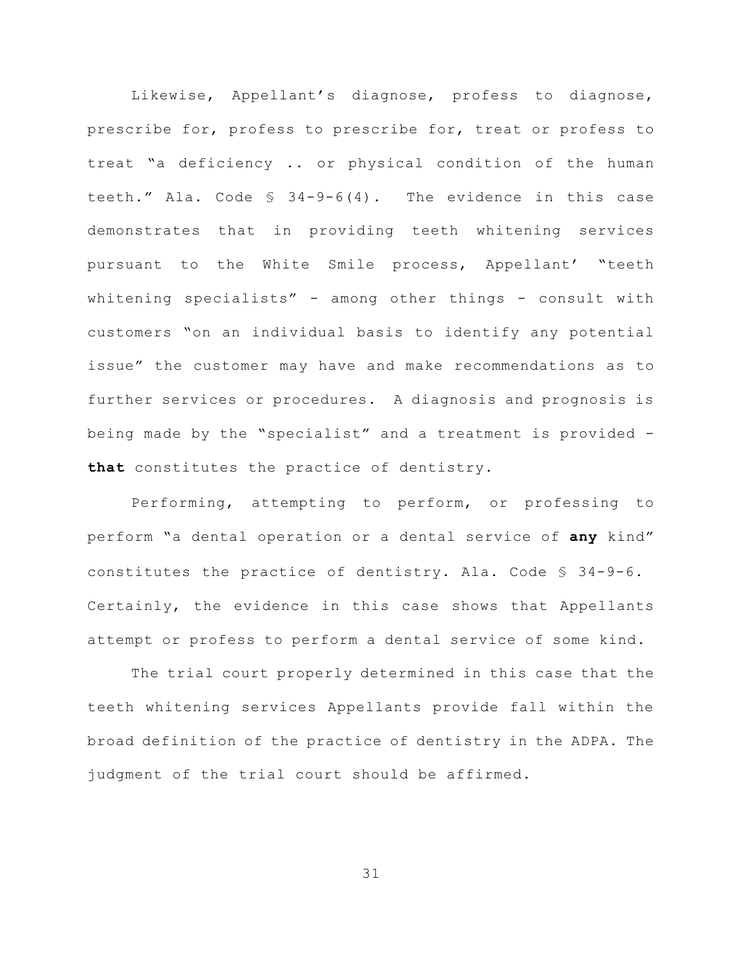Likewise, Appellant's diagnose, profess to diagnose, prescribe for, profess to prescribe for, treat or profess to treat "a deficiency .. or physical condition of the human teeth." Ala. Code § 34-9-6(4). The evidence in this case demonstrates that in providing teeth whitening services pursuant to the White Smile process, Appellant' "teeth whitening specialists" - among other things - consult with customers "on an individual basis to identify any potential issue" the customer may have and make recommendations as to further services or procedures. A diagnosis and prognosis is being made by the "specialist" and a treatment is provided **that** constitutes the practice of dentistry.

Performing, attempting to perform, or professing to perform "a dental operation or a dental service of **any** kind" constitutes the practice of dentistry. Ala. Code § 34-9-6. Certainly, the evidence in this case shows that Appellants attempt or profess to perform a dental service of some kind.

The trial court properly determined in this case that the teeth whitening services Appellants provide fall within the broad definition of the practice of dentistry in the ADPA. The judgment of the trial court should be affirmed.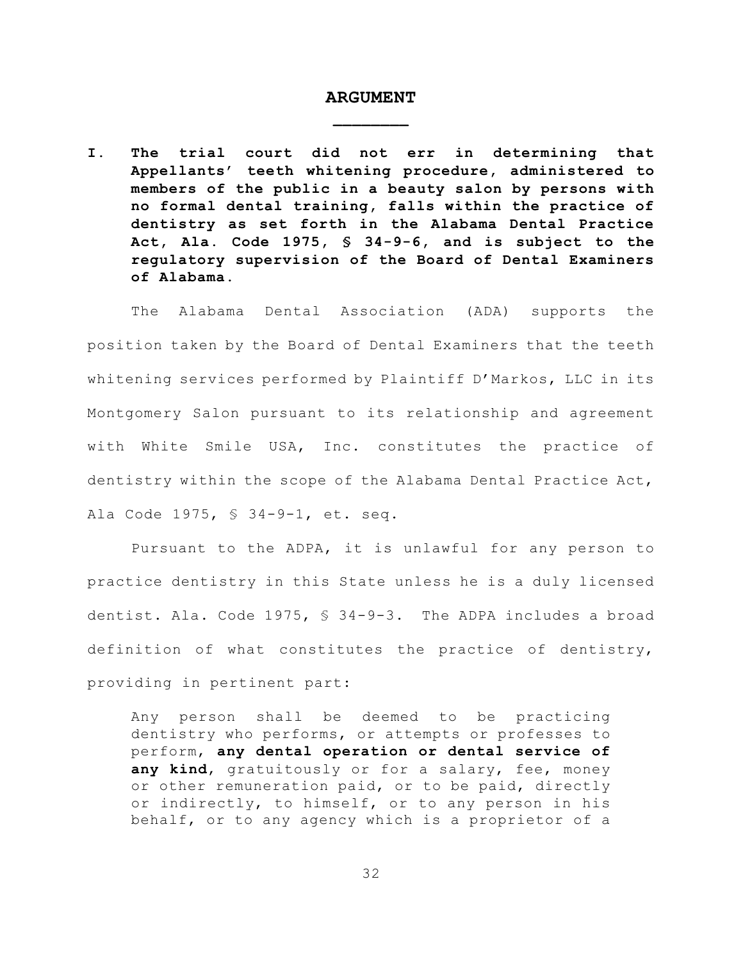## **ARGUMENT \_\_\_\_\_\_\_\_**

**I. The trial court did not err in determining that Appellants' teeth whitening procedure, administered to members of the public in a beauty salon by persons with no formal dental training, falls within the practice of dentistry as set forth in the Alabama Dental Practice Act, Ala. Code 1975, § 34-9-6, and is subject to the regulatory supervision of the Board of Dental Examiners of Alabama.**

The Alabama Dental Association (ADA) supports the position taken by the Board of Dental Examiners that the teeth whitening services performed by Plaintiff D'Markos, LLC in its Montgomery Salon pursuant to its relationship and agreement with White Smile USA, Inc. constitutes the practice of dentistry within the scope of the Alabama Dental Practice Act, Ala Code 1975, § 34-9-1, et. seq.

Pursuant to the ADPA, it is unlawful for any person to practice dentistry in this State unless he is a duly licensed dentist. Ala. Code 1975, § 34-9-3. The ADPA includes a broad definition of what constitutes the practice of dentistry, providing in pertinent part:

Any person shall be deemed to be practicing dentistry who performs, or attempts or professes to perform, **any dental operation or dental service of any kind**, gratuitously or for a salary, fee, money or other remuneration paid, or to be paid, directly or indirectly, to himself, or to any person in his behalf, or to any agency which is a proprietor of a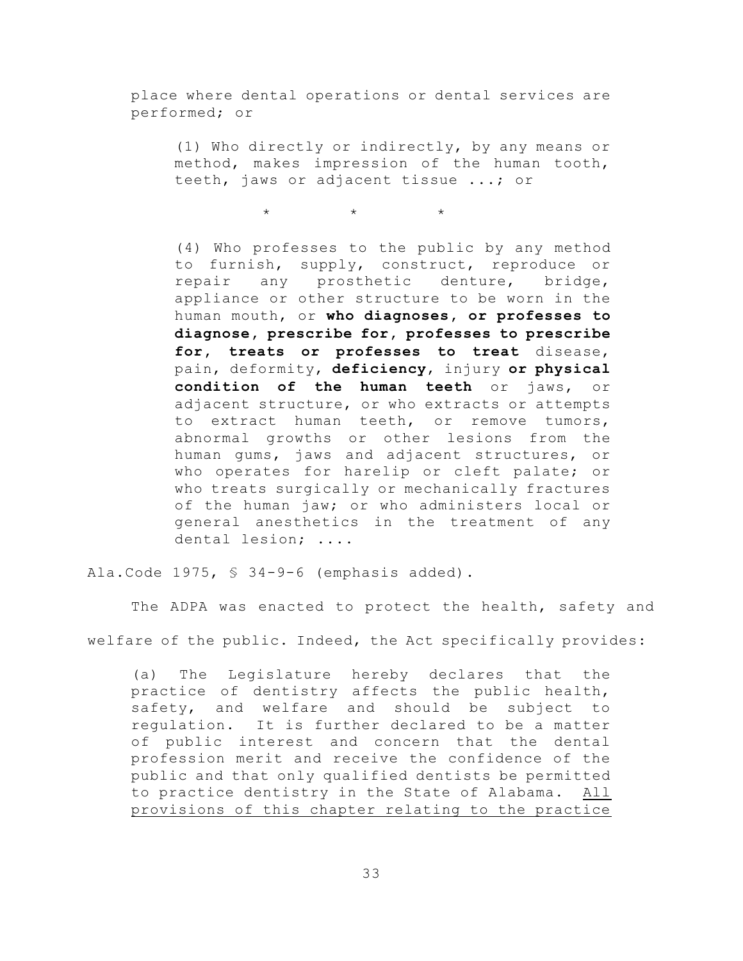place where dental operations or dental services are performed; or

(1) Who directly or indirectly, by any means or method, makes impression of the human tooth, teeth, jaws or adjacent tissue ...; or

 $\star$   $\star$   $\star$ 

(4) Who professes to the public by any method to furnish, supply, construct, reproduce or repair any prosthetic denture, bridge, appliance or other structure to be worn in the human mouth, or **who diagnoses, or professes to diagnose, prescribe for, professes to prescribe for, treats or professes to treat** disease, pain, deformity, **deficiency**, injury **or physical condition of the human teeth** or jaws, or adjacent structure, or who extracts or attempts to extract human teeth, or remove tumors, abnormal growths or other lesions from the human gums, jaws and adjacent structures, or who operates for harelip or cleft palate; or who treats surgically or mechanically fractures of the human jaw; or who administers local or general anesthetics in the treatment of any dental lesion; ....

Ala.Code 1975, § 34-9-6 (emphasis added).

The ADPA was enacted to protect the health, safety and welfare of the public. Indeed, the Act specifically provides:

(a) The Legislature hereby declares that the practice of dentistry affects the public health, safety, and welfare and should be subject to regulation. It is further declared to be a matter of public interest and concern that the dental profession merit and receive the confidence of the public and that only qualified dentists be permitted to practice dentistry in the State of Alabama. All provisions of this chapter relating to the practice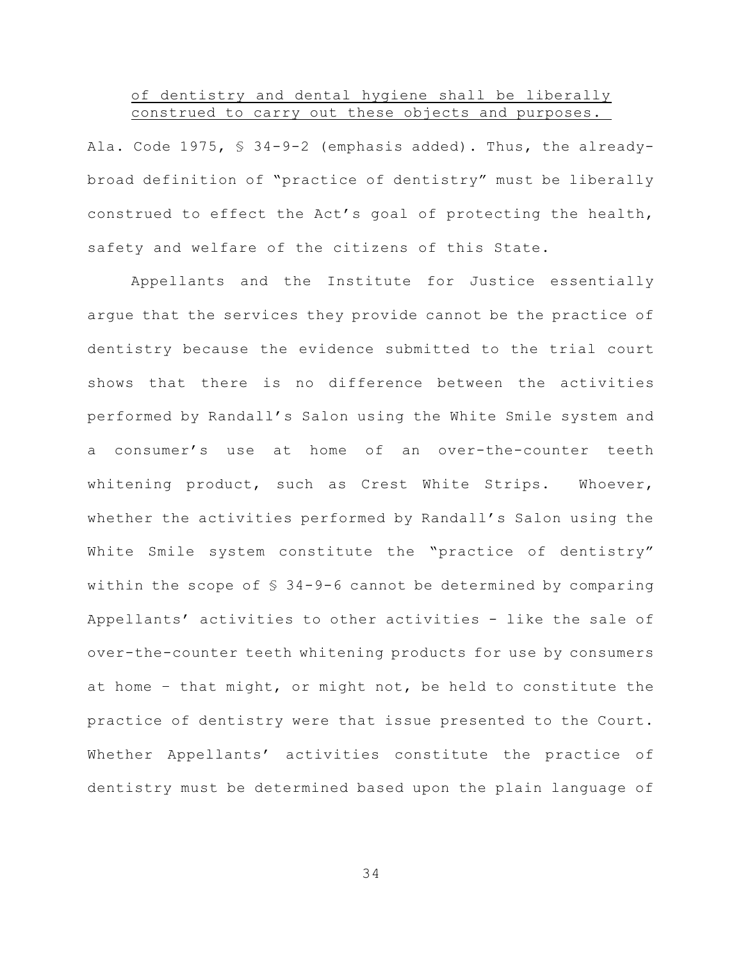#### of dentistry and dental hygiene shall be liberally construed to carry out these objects and purposes.

Ala. Code 1975, § 34-9-2 (emphasis added). Thus, the alreadybroad definition of "practice of dentistry" must be liberally construed to effect the Act's goal of protecting the health, safety and welfare of the citizens of this State.

Appellants and the Institute for Justice essentially argue that the services they provide cannot be the practice of dentistry because the evidence submitted to the trial court shows that there is no difference between the activities performed by Randall's Salon using the White Smile system and a consumer's use at home of an over-the-counter teeth whitening product, such as Crest White Strips. Whoever, whether the activities performed by Randall's Salon using the White Smile system constitute the "practice of dentistry" within the scope of § 34-9-6 cannot be determined by comparing Appellants' activities to other activities - like the sale of over-the-counter teeth whitening products for use by consumers at home – that might, or might not, be held to constitute the practice of dentistry were that issue presented to the Court. Whether Appellants' activities constitute the practice of dentistry must be determined based upon the plain language of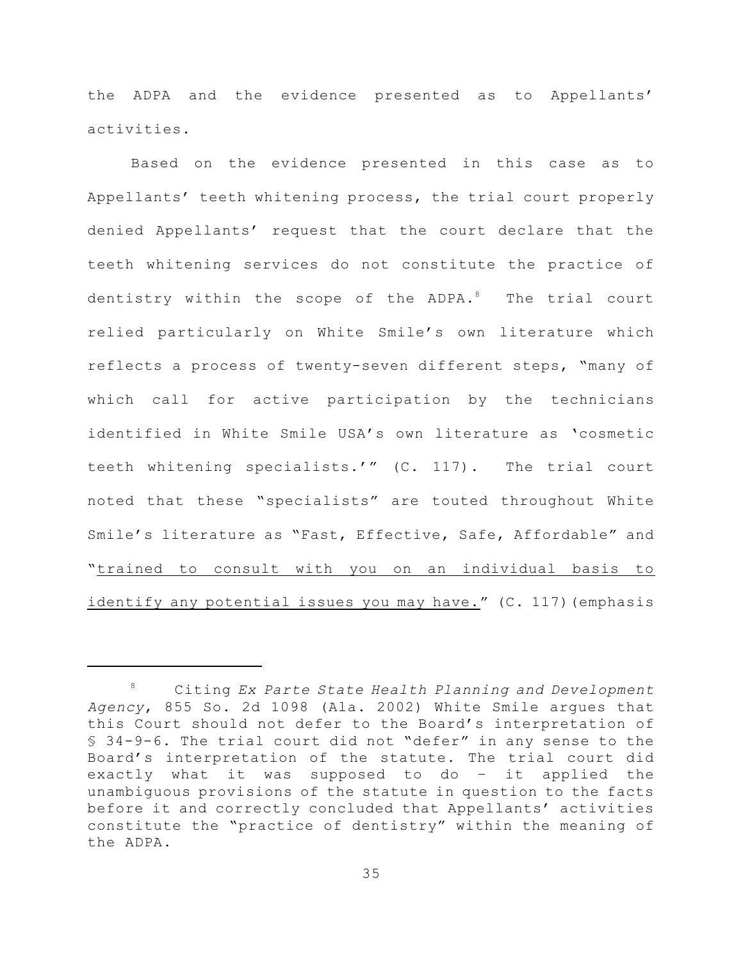the ADPA and the evidence presented as to Appellants' activities.

Based on the evidence presented in this case as to Appellants' teeth whitening process, the trial court properly denied Appellants' request that the court declare that the teeth whitening services do not constitute the practice of dentistry within the scope of the ADPA.<sup>8</sup> The trial court relied particularly on White Smile's own literature which reflects a process of twenty-seven different steps, "many of which call for active participation by the technicians identified in White Smile USA's own literature as 'cosmetic teeth whitening specialists.'" (C. 117). The trial court noted that these "specialists" are touted throughout White Smile's literature as "Fast, Effective, Safe, Affordable" and "trained to consult with you on an individual basis to identify any potential issues you may have." (C. 117) (emphasis

Citing *Ex Parte State Health Planning and Development* 8 *Agency*, 855 So. 2d 1098 (Ala. 2002) White Smile argues that this Court should not defer to the Board's interpretation of § 34-9-6. The trial court did not "defer" in any sense to the Board's interpretation of the statute. The trial court did exactly what it was supposed to do – it applied the unambiguous provisions of the statute in question to the facts before it and correctly concluded that Appellants' activities constitute the "practice of dentistry" within the meaning of the ADPA.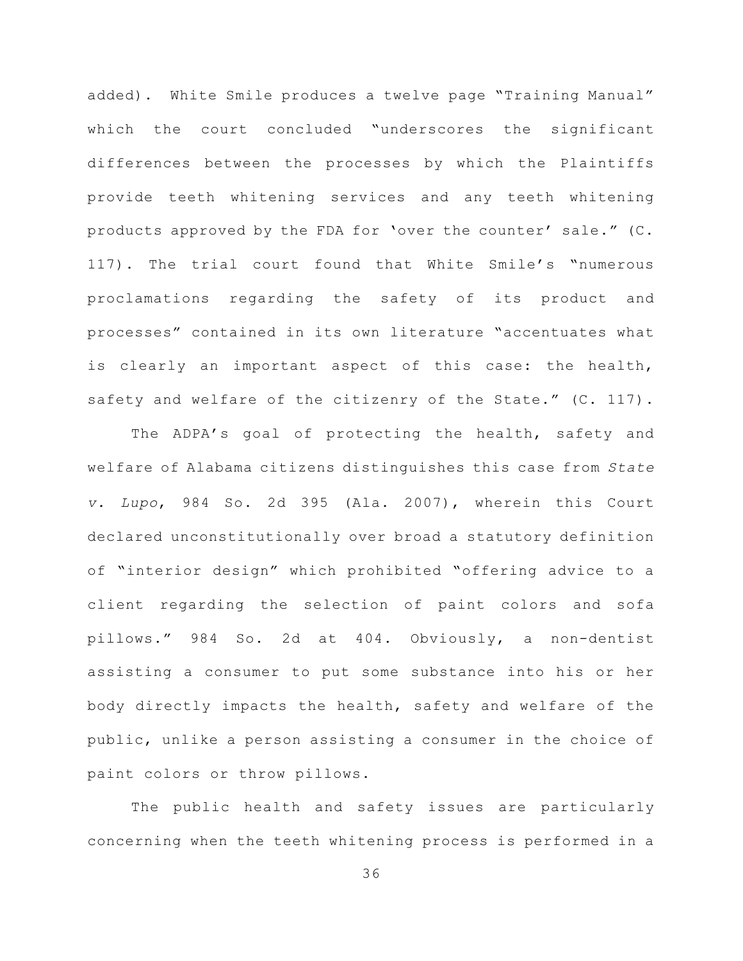added). White Smile produces a twelve page "Training Manual" which the court concluded "underscores the significant differences between the processes by which the Plaintiffs provide teeth whitening services and any teeth whitening products approved by the FDA for 'over the counter' sale." (C. 117). The trial court found that White Smile's "numerous proclamations regarding the safety of its product and processes" contained in its own literature "accentuates what is clearly an important aspect of this case: the health, safety and welfare of the citizenry of the State." (C. 117).

The ADPA's goal of protecting the health, safety and welfare of Alabama citizens distinguishes this case from *State v. Lupo*, 984 So. 2d 395 (Ala. 2007), wherein this Court declared unconstitutionally over broad a statutory definition of "interior design" which prohibited "offering advice to a client regarding the selection of paint colors and sofa pillows." 984 So. 2d at 404. Obviously, a non-dentist assisting a consumer to put some substance into his or her body directly impacts the health, safety and welfare of the public, unlike a person assisting a consumer in the choice of paint colors or throw pillows.

The public health and safety issues are particularly concerning when the teeth whitening process is performed in a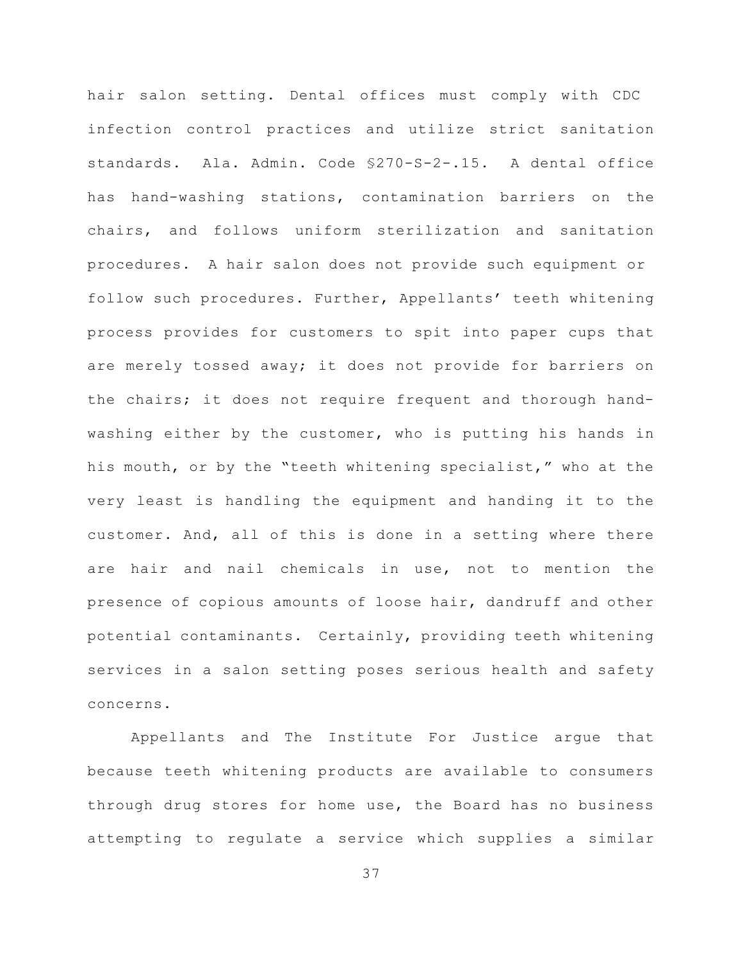hair salon setting. Dental offices must comply with CDC infection control practices and utilize strict sanitation standards. Ala. Admin. Code §270-S-2-.15. A dental office has hand-washing stations, contamination barriers on the chairs, and follows uniform sterilization and sanitation procedures. A hair salon does not provide such equipment or follow such procedures. Further, Appellants' teeth whitening process provides for customers to spit into paper cups that are merely tossed away; it does not provide for barriers on the chairs; it does not require frequent and thorough handwashing either by the customer, who is putting his hands in his mouth, or by the "teeth whitening specialist," who at the very least is handling the equipment and handing it to the customer. And, all of this is done in a setting where there are hair and nail chemicals in use, not to mention the presence of copious amounts of loose hair, dandruff and other potential contaminants. Certainly, providing teeth whitening services in a salon setting poses serious health and safety concerns.

Appellants and The Institute For Justice argue that because teeth whitening products are available to consumers through drug stores for home use, the Board has no business attempting to regulate a service which supplies a similar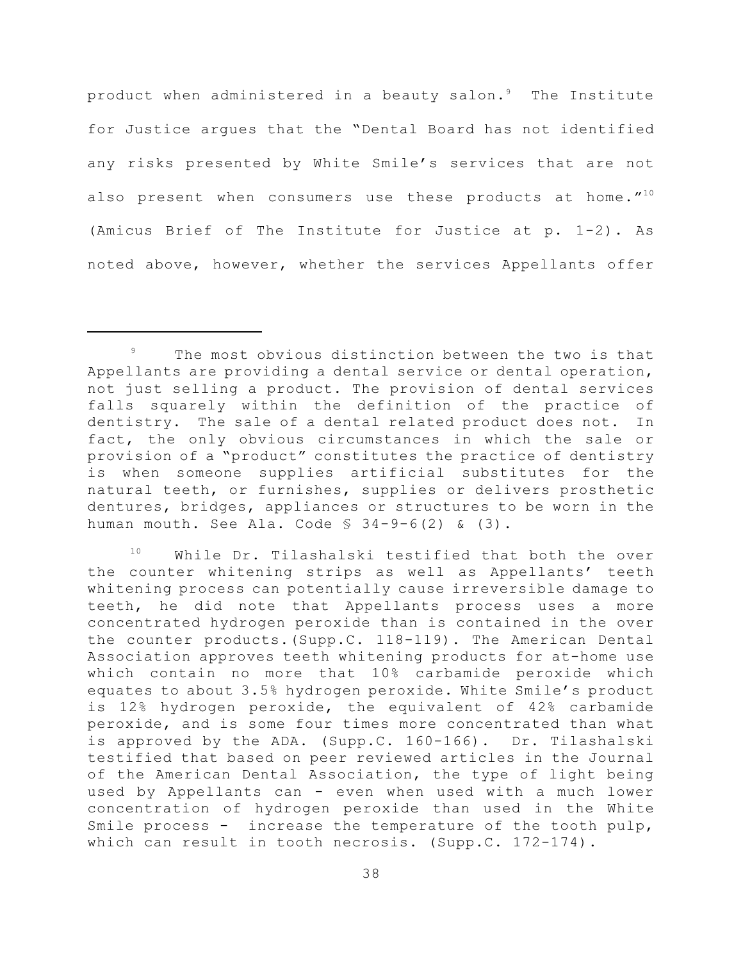product when administered in a beauty salon. $^9$  . The Institute for Justice argues that the "Dental Board has not identified any risks presented by White Smile's services that are not also present when consumers use these products at home." $^{10}$ (Amicus Brief of The Institute for Justice at p. 1-2). As noted above, however, whether the services Appellants offer

The most obvious distinction between the two is that 9 Appellants are providing a dental service or dental operation, not just selling a product. The provision of dental services falls squarely within the definition of the practice of dentistry. The sale of a dental related product does not. In fact, the only obvious circumstances in which the sale or provision of a "product" constitutes the practice of dentistry is when someone supplies artificial substitutes for the natural teeth, or furnishes, supplies or delivers prosthetic dentures, bridges, appliances or structures to be worn in the human mouth. See Ala. Code  $\S$  34-9-6(2) & (3).

While Dr. Tilashalski testified that both the over 10 the counter whitening strips as well as Appellants' teeth whitening process can potentially cause irreversible damage to teeth, he did note that Appellants process uses a more concentrated hydrogen peroxide than is contained in the over the counter products.(Supp.C. 118-119). The American Dental Association approves teeth whitening products for at-home use which contain no more that 10% carbamide peroxide which equates to about 3.5% hydrogen peroxide. White Smile's product is 12% hydrogen peroxide, the equivalent of 42% carbamide peroxide, and is some four times more concentrated than what is approved by the ADA. (Supp.C. 160-166). Dr. Tilashalski testified that based on peer reviewed articles in the Journal of the American Dental Association, the type of light being used by Appellants can - even when used with a much lower concentration of hydrogen peroxide than used in the White Smile process - increase the temperature of the tooth pulp, which can result in tooth necrosis. (Supp.C. 172-174).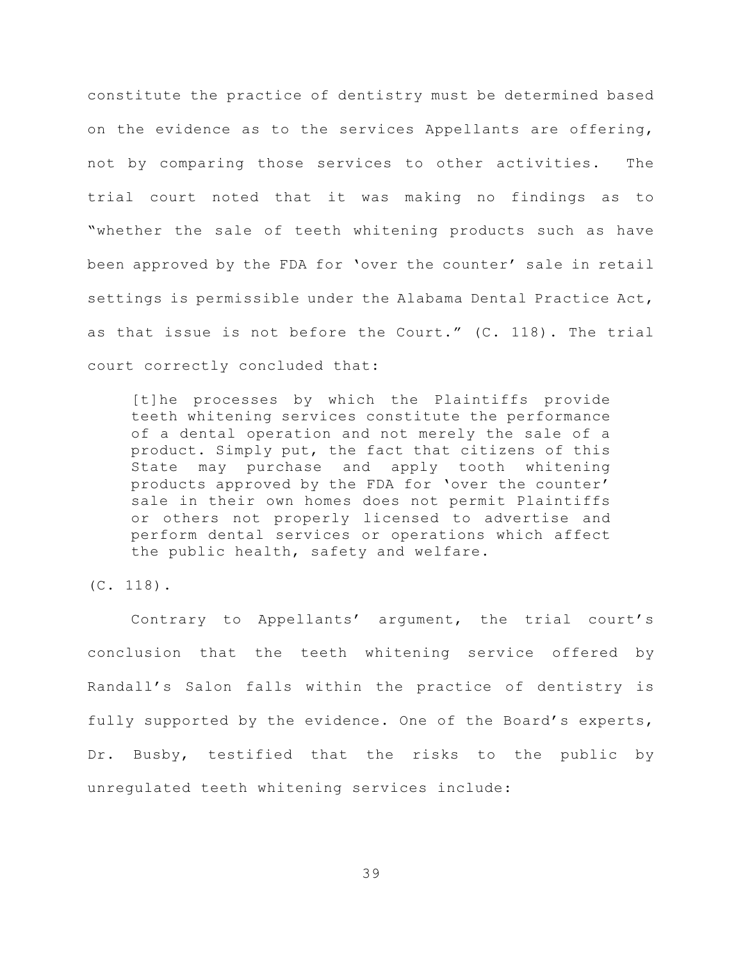constitute the practice of dentistry must be determined based on the evidence as to the services Appellants are offering, not by comparing those services to other activities. The trial court noted that it was making no findings as to "whether the sale of teeth whitening products such as have been approved by the FDA for 'over the counter' sale in retail settings is permissible under the Alabama Dental Practice Act, as that issue is not before the Court." (C. 118). The trial court correctly concluded that:

[t]he processes by which the Plaintiffs provide teeth whitening services constitute the performance of a dental operation and not merely the sale of a product. Simply put, the fact that citizens of this State may purchase and apply tooth whitening products approved by the FDA for 'over the counter' sale in their own homes does not permit Plaintiffs or others not properly licensed to advertise and perform dental services or operations which affect the public health, safety and welfare.

#### (C. 118).

Contrary to Appellants' argument, the trial court's conclusion that the teeth whitening service offered by Randall's Salon falls within the practice of dentistry is fully supported by the evidence. One of the Board's experts, Dr. Busby, testified that the risks to the public by unregulated teeth whitening services include: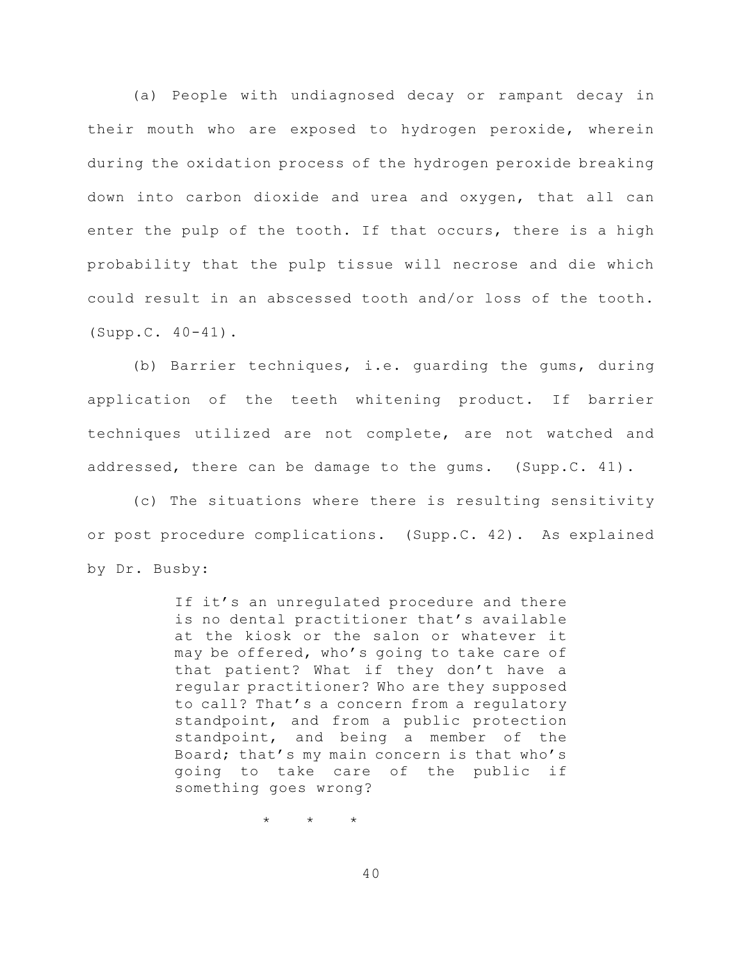(a) People with undiagnosed decay or rampant decay in their mouth who are exposed to hydrogen peroxide, wherein during the oxidation process of the hydrogen peroxide breaking down into carbon dioxide and urea and oxygen, that all can enter the pulp of the tooth. If that occurs, there is a high probability that the pulp tissue will necrose and die which could result in an abscessed tooth and/or loss of the tooth. (Supp.C. 40-41).

(b) Barrier techniques, i.e. guarding the gums, during application of the teeth whitening product. If barrier techniques utilized are not complete, are not watched and addressed, there can be damage to the gums. (Supp.C. 41).

(c) The situations where there is resulting sensitivity or post procedure complications. (Supp.C. 42). As explained by Dr. Busby:

> If it's an unregulated procedure and there is no dental practitioner that's available at the kiosk or the salon or whatever it may be offered, who's going to take care of that patient? What if they don't have a regular practitioner? Who are they supposed to call? That's a concern from a regulatory standpoint, and from a public protection standpoint, and being a member of the Board; that's my main concern is that who's going to take care of the public if something goes wrong?

> > \* \* \*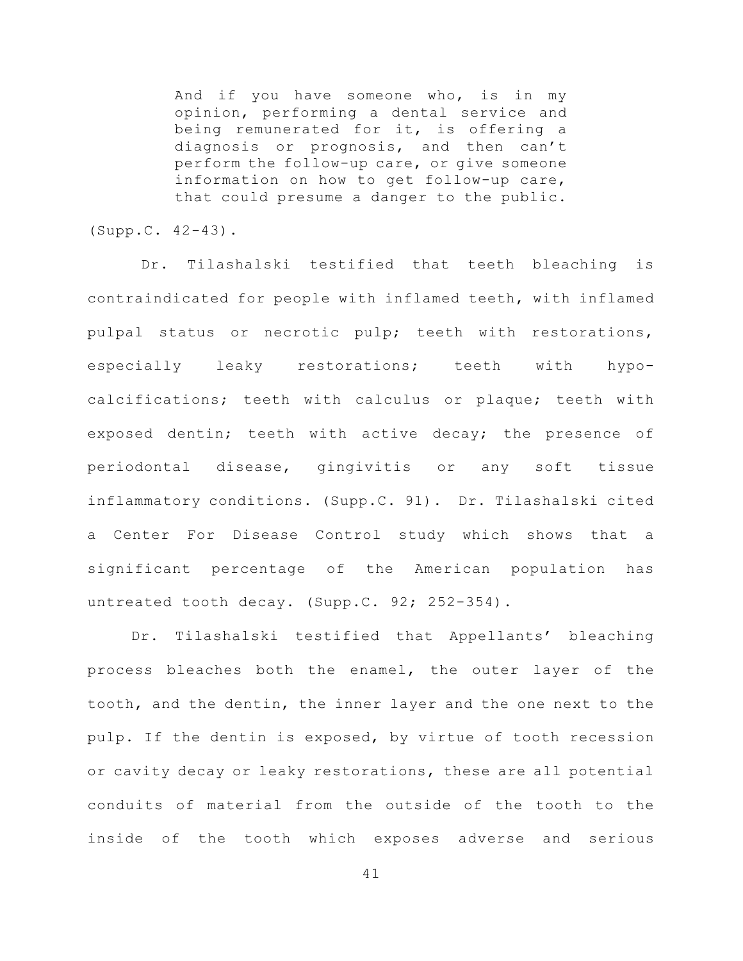And if you have someone who, is in my opinion, performing a dental service and being remunerated for it, is offering a diagnosis or prognosis, and then can't perform the follow-up care, or give someone information on how to get follow-up care, that could presume a danger to the public.

(Supp.C. 42-43).

Dr. Tilashalski testified that teeth bleaching is contraindicated for people with inflamed teeth, with inflamed pulpal status or necrotic pulp; teeth with restorations, especially leaky restorations; teeth with hypocalcifications; teeth with calculus or plaque; teeth with exposed dentin; teeth with active decay; the presence of periodontal disease, gingivitis or any soft tissue inflammatory conditions. (Supp.C. 91). Dr. Tilashalski cited a Center For Disease Control study which shows that a significant percentage of the American population has untreated tooth decay. (Supp.C. 92; 252-354).

Dr. Tilashalski testified that Appellants' bleaching process bleaches both the enamel, the outer layer of the tooth, and the dentin, the inner layer and the one next to the pulp. If the dentin is exposed, by virtue of tooth recession or cavity decay or leaky restorations, these are all potential conduits of material from the outside of the tooth to the inside of the tooth which exposes adverse and serious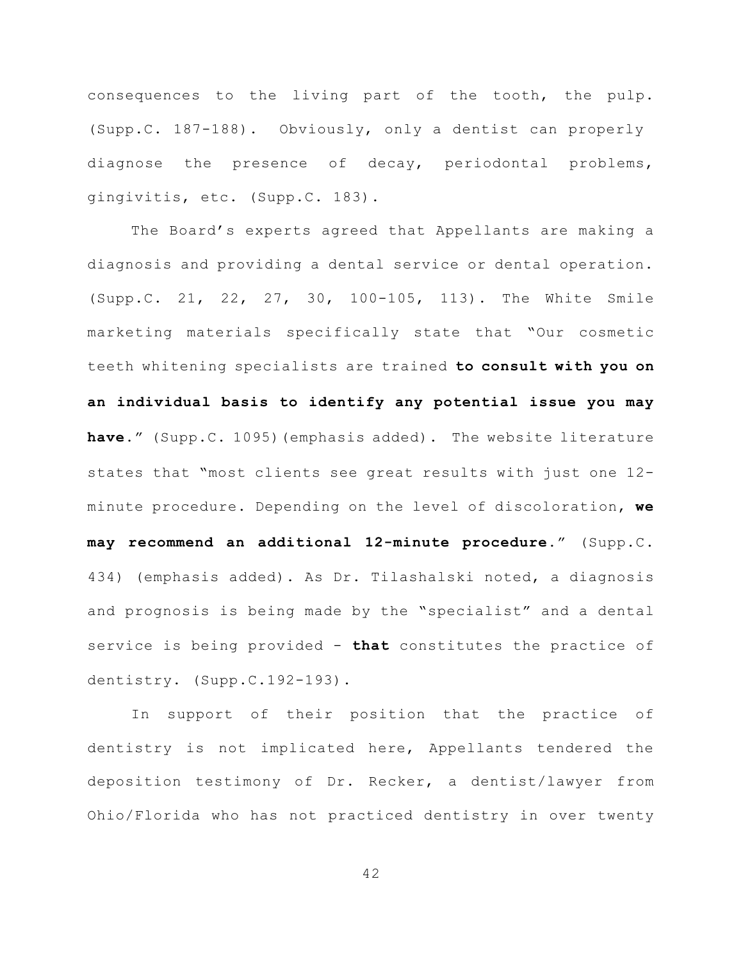consequences to the living part of the tooth, the pulp. (Supp.C. 187-188). Obviously, only a dentist can properly diagnose the presence of decay, periodontal problems, gingivitis, etc. (Supp.C. 183).

The Board's experts agreed that Appellants are making a diagnosis and providing a dental service or dental operation. (Supp.C. 21, 22, 27, 30, 100-105, 113). The White Smile marketing materials specifically state that "Our cosmetic teeth whitening specialists are trained **to consult with you on an individual basis to identify any potential issue you may have**." (Supp.C. 1095)(emphasis added). The website literature states that "most clients see great results with just one 12 minute procedure. Depending on the level of discoloration, **we may recommend an additional 12-minute procedure.**" (Supp.C. 434) (emphasis added). As Dr. Tilashalski noted, a diagnosis and prognosis is being made by the "specialist" and a dental service is being provided - **that** constitutes the practice of dentistry. (Supp.C.192-193).

In support of their position that the practice of dentistry is not implicated here, Appellants tendered the deposition testimony of Dr. Recker, a dentist/lawyer from Ohio/Florida who has not practiced dentistry in over twenty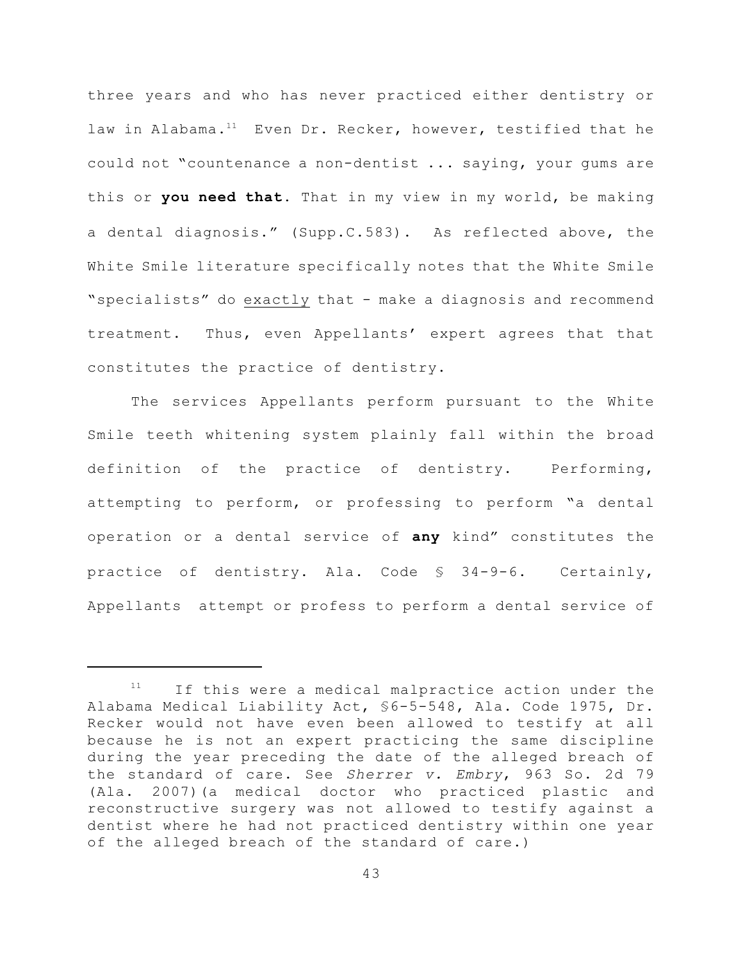three years and who has never practiced either dentistry or law in Alabama.<sup>11</sup> Even Dr. Recker, however, testified that he could not "countenance a non-dentist ... saying, your gums are this or **you need that.** That in my view in my world, be making a dental diagnosis." (Supp.C.583). As reflected above, the White Smile literature specifically notes that the White Smile "specialists" do exactly that - make a diagnosis and recommend treatment. Thus, even Appellants' expert agrees that that constitutes the practice of dentistry.

The services Appellants perform pursuant to the White Smile teeth whitening system plainly fall within the broad definition of the practice of dentistry. Performing, attempting to perform, or professing to perform "a dental operation or a dental service of **any** kind" constitutes the practice of dentistry. Ala. Code § 34-9-6. Certainly, Appellants attempt or profess to perform a dental service of

If this were a medical malpractice action under the 11 Alabama Medical Liability Act, §6-5-548, Ala. Code 1975, Dr. Recker would not have even been allowed to testify at all because he is not an expert practicing the same discipline during the year preceding the date of the alleged breach of the standard of care. See *Sherrer v. Embry*, 963 So. 2d 79 (Ala. 2007)(a medical doctor who practiced plastic and reconstructive surgery was not allowed to testify against a dentist where he had not practiced dentistry within one year of the alleged breach of the standard of care.)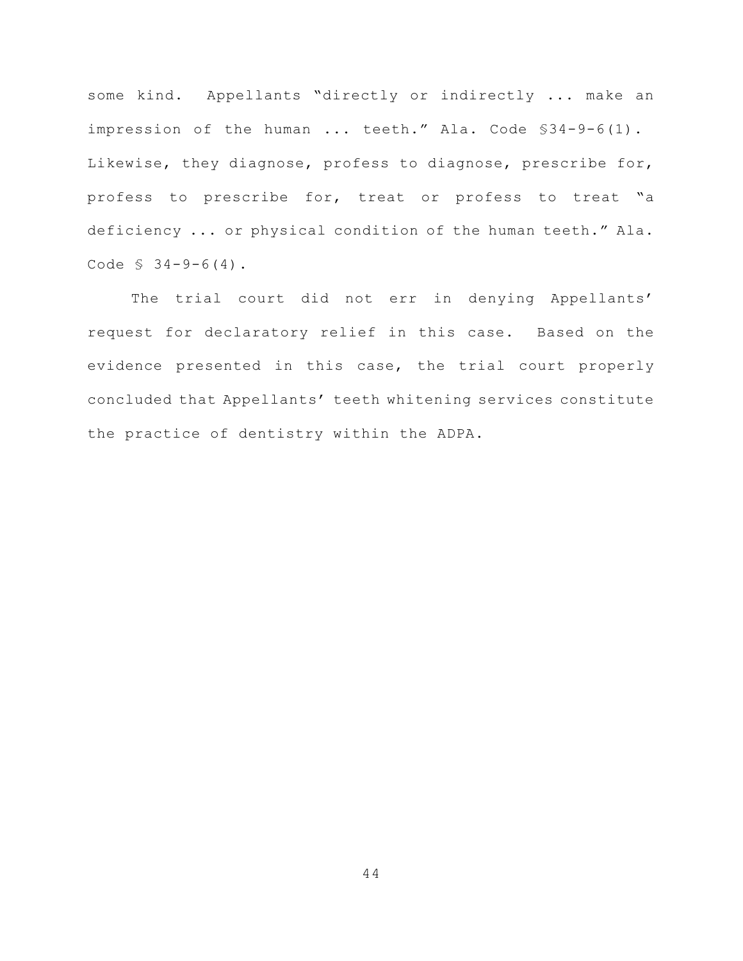some kind. Appellants "directly or indirectly ... make an impression of the human ... teeth." Ala. Code \$34-9-6(1). Likewise, they diagnose, profess to diagnose, prescribe for, profess to prescribe for, treat or profess to treat "a deficiency ... or physical condition of the human teeth." Ala. Code  $$34-9-6(4)$ .

The trial court did not err in denying Appellants' request for declaratory relief in this case. Based on the evidence presented in this case, the trial court properly concluded that Appellants' teeth whitening services constitute the practice of dentistry within the ADPA.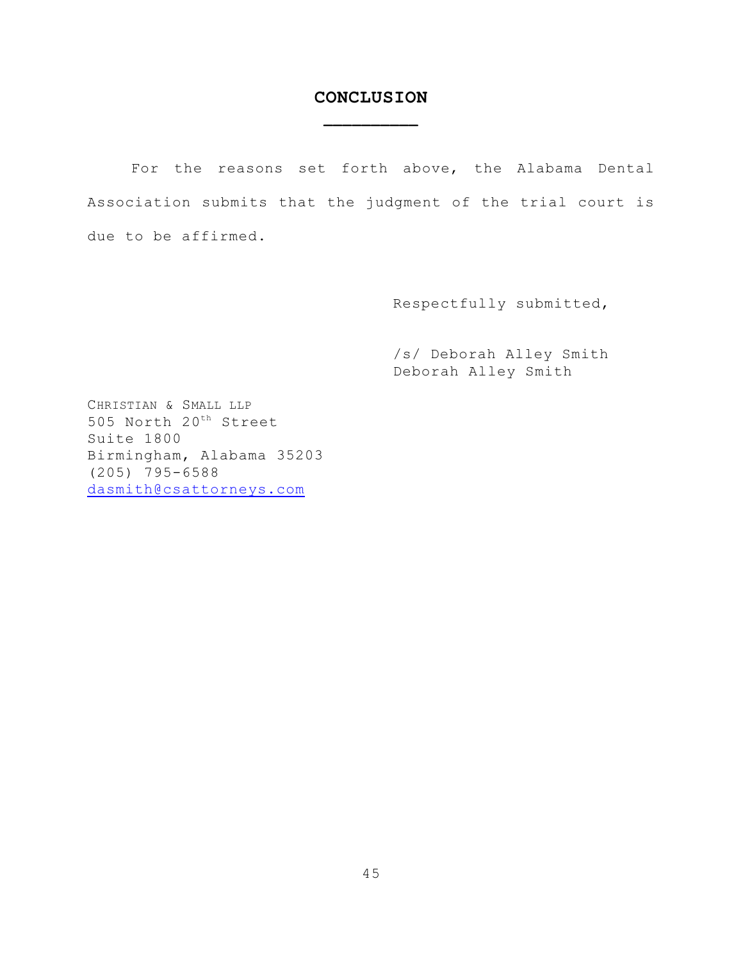# **CONCLUSION \_\_\_\_\_\_\_\_\_\_**

For the reasons set forth above, the Alabama Dental Association submits that the judgment of the trial court is due to be affirmed.

Respectfully submitted,

/s/ Deborah Alley Smith Deborah Alley Smith

CHRISTIAN & SMALL LLP 505 North 20<sup>th</sup> Street Suite 1800 Birmingham, Alabama 35203 (205) 795-6588 [dasmith@csattorneys.com](mailto:dasmith@csattorneys.com)